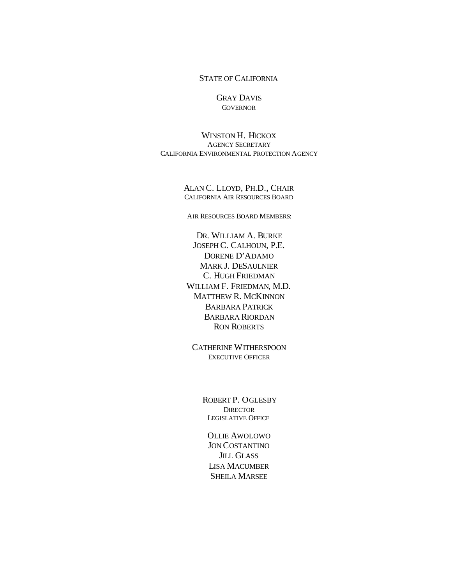#### STATE OF CALIFORNIA

#### GRAY DAVIS **GOVERNOR**

WINSTON H. HICKOX AGENCY SECRETARY CALIFORNIA ENVIRONMENTAL PROTECTION AGENCY

> ALAN C. LLOYD, PH.D., CHAIR CALIFORNIA AIR RESOURCES BOARD

AIR RESOURCES BOARD MEMBERS:

DR. WILLIAM A. BURKE JOSEPH C. CALHOUN, P.E. DORENE D'ADAMO MARK J. DESAULNIER C. HUGH FRIEDMAN WILLIAM F. FRIEDMAN, M.D. MATTHEW R. MCKINNON BARBARA PATRICK BARBARA RIORDAN RON ROBERTS

CATHERINE WITHERSPOON EXECUTIVE OFFICER

> ROBERT P. OGLESBY **DIRECTOR** LEGISLATIVE OFFICE

OLLIE AWOLOWO JON COSTANTINO JILL GLASS LISA MACUMBER SHEILA MARSEE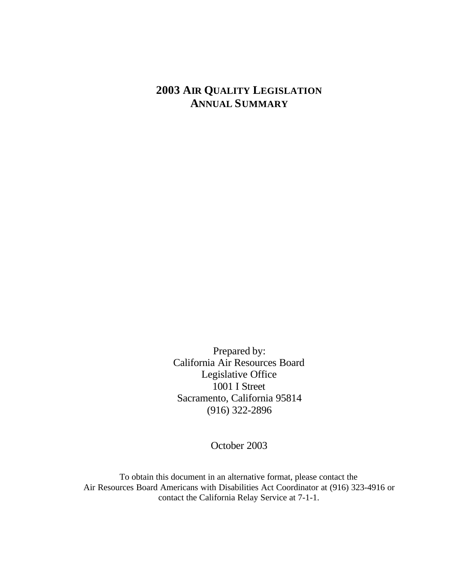## **2003 AIR QUALITY LEGISLATION ANNUAL SUMMARY**

Prepared by: California Air Resources Board Legislative Office 1001 I Street Sacramento, California 95814 (916) 322-2896

October 2003

To obtain this document in an alternative format, please contact the Air Resources Board Americans with Disabilities Act Coordinator at (916) 323-4916 or contact the California Relay Service at 7-1-1.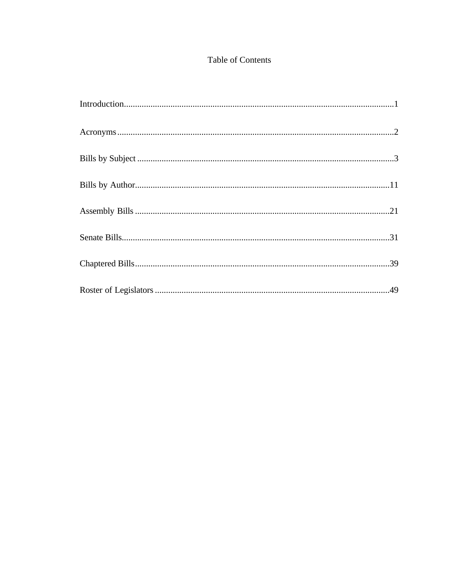## Table of Contents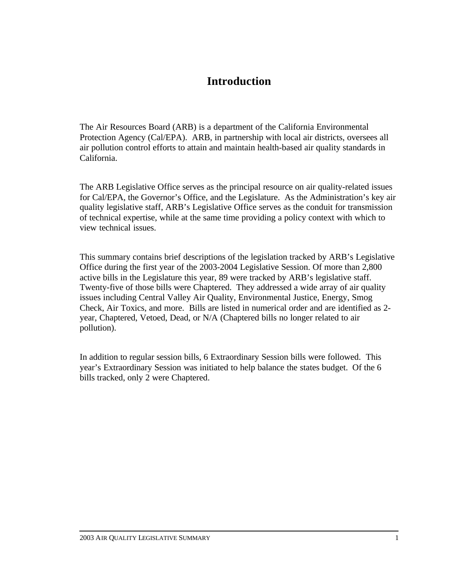## **Introduction**

The Air Resources Board (ARB) is a department of the California Environmental Protection Agency (Cal/EPA). ARB, in partnership with local air districts, oversees all air pollution control efforts to attain and maintain health-based air quality standards in California.

The ARB Legislative Office serves as the principal resource on air quality-related issues for Cal/EPA, the Governor's Office, and the Legislature. As the Administration's key air quality legislative staff, ARB's Legislative Office serves as the conduit for transmission of technical expertise, while at the same time providing a policy context with which to view technical issues.

This summary contains brief descriptions of the legislation tracked by ARB's Legislative Office during the first year of the 2003-2004 Legislative Session. Of more than 2,800 active bills in the Legislature this year, 89 were tracked by ARB's legislative staff. Twenty-five of those bills were Chaptered. They addressed a wide array of air quality issues including Central Valley Air Quality, Environmental Justice, Energy, Smog Check, Air Toxics, and more. Bills are listed in numerical order and are identified as 2 year, Chaptered, Vetoed, Dead, or N/A (Chaptered bills no longer related to air pollution).

In addition to regular session bills, 6 Extraordinary Session bills were followed. This year's Extraordinary Session was initiated to help balance the states budget. Of the 6 bills tracked, only 2 were Chaptered.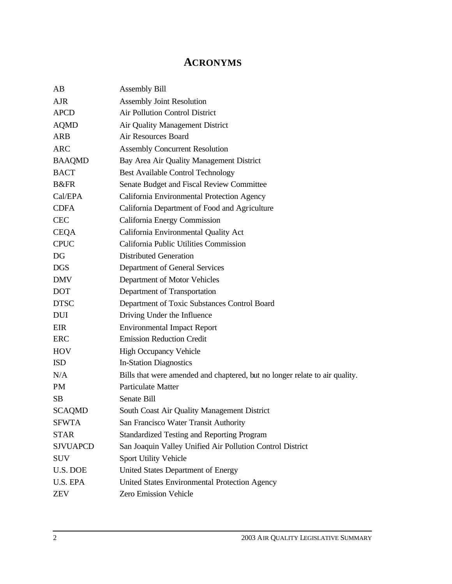## **ACRONYMS**

| AB              | <b>Assembly Bill</b>                                                        |
|-----------------|-----------------------------------------------------------------------------|
| AJR             | <b>Assembly Joint Resolution</b>                                            |
| <b>APCD</b>     | Air Pollution Control District                                              |
| <b>AQMD</b>     | Air Quality Management District                                             |
| ARB             | Air Resources Board                                                         |
| <b>ARC</b>      | <b>Assembly Concurrent Resolution</b>                                       |
| <b>BAAQMD</b>   | Bay Area Air Quality Management District                                    |
| <b>BACT</b>     | <b>Best Available Control Technology</b>                                    |
| B&FR            | Senate Budget and Fiscal Review Committee                                   |
| Cal/EPA         | California Environmental Protection Agency                                  |
| <b>CDFA</b>     | California Department of Food and Agriculture                               |
| <b>CEC</b>      | California Energy Commission                                                |
| <b>CEQA</b>     | California Environmental Quality Act                                        |
| <b>CPUC</b>     | California Public Utilities Commission                                      |
| DG              | <b>Distributed Generation</b>                                               |
| <b>DGS</b>      | Department of General Services                                              |
| <b>DMV</b>      | Department of Motor Vehicles                                                |
| <b>DOT</b>      | Department of Transportation                                                |
| <b>DTSC</b>     | Department of Toxic Substances Control Board                                |
| <b>DUI</b>      | Driving Under the Influence                                                 |
| EIR             | <b>Environmental Impact Report</b>                                          |
| ERC             | <b>Emission Reduction Credit</b>                                            |
| <b>HOV</b>      | <b>High Occupancy Vehicle</b>                                               |
| <b>ISD</b>      | <b>In-Station Diagnostics</b>                                               |
| N/A             | Bills that were amended and chaptered, but no longer relate to air quality. |
| <b>PM</b>       | <b>Particulate Matter</b>                                                   |
| <b>SB</b>       | Senate Bill                                                                 |
| <b>SCAOMD</b>   | South Coast Air Quality Management District                                 |
| <b>SFWTA</b>    | San Francisco Water Transit Authority                                       |
| <b>STAR</b>     | <b>Standardized Testing and Reporting Program</b>                           |
| <b>SJVUAPCD</b> | San Joaquin Valley Unified Air Pollution Control District                   |
| <b>SUV</b>      | Sport Utility Vehicle                                                       |
| U.S. DOE        | United States Department of Energy                                          |
| <b>U.S. EPA</b> | United States Environmental Protection Agency                               |
| <b>ZEV</b>      | Zero Emission Vehicle                                                       |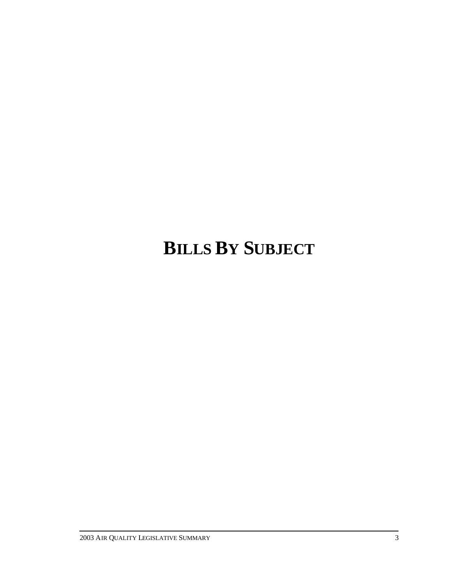# **BILLS BY SUBJECT**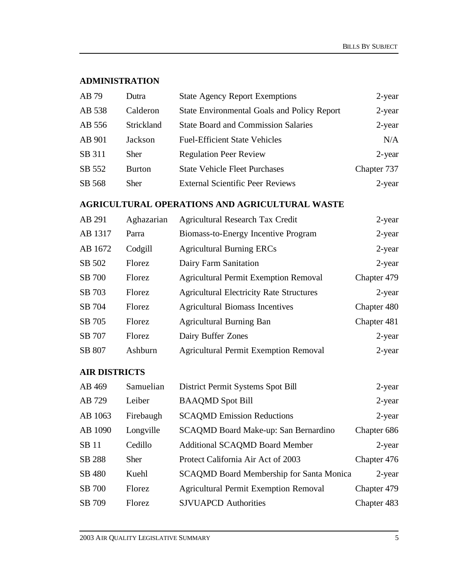#### **ADMINISTRATION**

| AB 79  | Dutra         | <b>State Agency Report Exemptions</b>              | 2-year      |
|--------|---------------|----------------------------------------------------|-------------|
| AB 538 | Calderon      | <b>State Environmental Goals and Policy Report</b> | $2$ -year   |
| AB 556 | Strickland    | <b>State Board and Commission Salaries</b>         | $2$ -year   |
| AB 901 | Jackson       | <b>Fuel-Efficient State Vehicles</b>               | N/A         |
| SB 311 | <b>Sher</b>   | <b>Regulation Peer Review</b>                      | $2$ -year   |
| SB 552 | <b>Burton</b> | <b>State Vehicle Fleet Purchases</b>               | Chapter 737 |
| SB 568 | Sher          | <b>External Scientific Peer Reviews</b>            | 2-year      |

## **AGRICULTURAL OPERATIONS AND AGRICULTURAL WASTE**

| AB 291        | Aghazarian | <b>Agricultural Research Tax Credit</b>         | 2-year      |
|---------------|------------|-------------------------------------------------|-------------|
| AB 1317       | Parra      | Biomass-to-Energy Incentive Program             | 2-year      |
| AB 1672       | Codgill    | <b>Agricultural Burning ERCs</b>                | 2-year      |
| SB 502        | Florez     | Dairy Farm Sanitation                           | 2-year      |
| <b>SB</b> 700 | Florez     | <b>Agricultural Permit Exemption Removal</b>    | Chapter 479 |
| SB 703        | Florez     | <b>Agricultural Electricity Rate Structures</b> | $2$ -year   |
| SB 704        | Florez     | <b>Agricultural Biomass Incentives</b>          | Chapter 480 |
| SB 705        | Florez     | <b>Agricultural Burning Ban</b>                 | Chapter 481 |
| SB 707        | Florez     | Dairy Buffer Zones                              | 2-year      |
| SB 807        | Ashburn    | <b>Agricultural Permit Exemption Removal</b>    | $2$ -year   |

## **AIR DISTRICTS**

| AB 469        | Samuelian   | District Permit Systems Spot Bill               | 2-year      |
|---------------|-------------|-------------------------------------------------|-------------|
| AB 729        | Leiber      | <b>BAAQMD</b> Spot Bill                         | 2-year      |
| AB 1063       | Firebaugh   | <b>SCAQMD Emission Reductions</b>               | $2$ -year   |
| AB 1090       | Longville   | SCAQMD Board Make-up: San Bernardino            | Chapter 686 |
| <b>SB</b> 11  | Cedillo     | <b>Additional SCAQMD Board Member</b>           | $2$ -year   |
| SB 288        | <b>Sher</b> | Protect California Air Act of 2003              | Chapter 476 |
| SB 480        | Kuehl       | <b>SCAQMD Board Membership for Santa Monica</b> | 2-year      |
| <b>SB</b> 700 | Florez      | <b>Agricultural Permit Exemption Removal</b>    | Chapter 479 |
| SB 709        | Florez      | <b>SJVUAPCD</b> Authorities                     | Chapter 483 |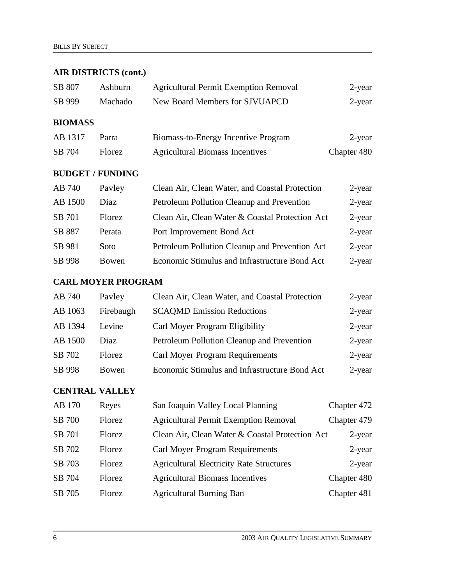## **AIR DISTRICTS (cont.)**

| SB 807         | Ashburn       | <b>Agricultural Permit Exemption Removal</b> | 2-year      |
|----------------|---------------|----------------------------------------------|-------------|
| SB 999         | Machado       | New Board Members for SJVUAPCD               | 2-year      |
| <b>BIOMASS</b> |               |                                              |             |
| AB 1317        | Parra         | Biomass-to-Energy Incentive Program          | 2-year      |
| SB 704         | <b>Florez</b> | <b>Agricultural Biomass Incentives</b>       | Chapter 480 |

#### **BUDGET / FUNDING**

| AB 740  | Payley | Clean Air, Clean Water, and Coastal Protection  | 2-year    |
|---------|--------|-------------------------------------------------|-----------|
| AB 1500 | Diaz   | Petroleum Pollution Cleanup and Prevention      | $2$ -year |
| SB 701  | Florez | Clean Air, Clean Water & Coastal Protection Act | $2$ -year |
| SB 887  | Perata | Port Improvement Bond Act                       | $2$ -year |
| SB 981  | Soto   | Petroleum Pollution Cleanup and Prevention Act  | $2$ -year |
| SB 998  | Bowen  | Economic Stimulus and Infrastructure Bond Act   | $2$ -year |

#### **CARL MOYER PROGRAM**

| AB 740  | Payley        | Clean Air, Clean Water, and Coastal Protection | 2-year    |
|---------|---------------|------------------------------------------------|-----------|
| AB 1063 | Firebaugh     | <b>SCAQMD Emission Reductions</b>              | $2$ -year |
| AB 1394 | Levine        | Carl Moyer Program Eligibility                 | $2$ -year |
| AB 1500 | Diaz          | Petroleum Pollution Cleanup and Prevention     | $2$ -year |
| SB 702  | <b>Florez</b> | <b>Carl Moyer Program Requirements</b>         | $2$ -year |
| SB 998  | Bowen         | Economic Stimulus and Infrastructure Bond Act  | $2$ -year |

## **CENTRAL VALLEY**

| AB 170        | Reyes         | San Joaquin Valley Local Planning               | Chapter 472 |
|---------------|---------------|-------------------------------------------------|-------------|
| <b>SB</b> 700 | Florez        | <b>Agricultural Permit Exemption Removal</b>    | Chapter 479 |
| SB 701        | <b>Florez</b> | Clean Air, Clean Water & Coastal Protection Act | 2-year      |
| SB 702        | Florez        | Carl Moyer Program Requirements                 | 2-year      |
| SB 703        | Florez        | <b>Agricultural Electricity Rate Structures</b> | $2$ -year   |
| SB 704        | <b>Florez</b> | <b>Agricultural Biomass Incentives</b>          | Chapter 480 |
| SB 705        | Florez        | <b>Agricultural Burning Ban</b>                 | Chapter 481 |
|               |               |                                                 |             |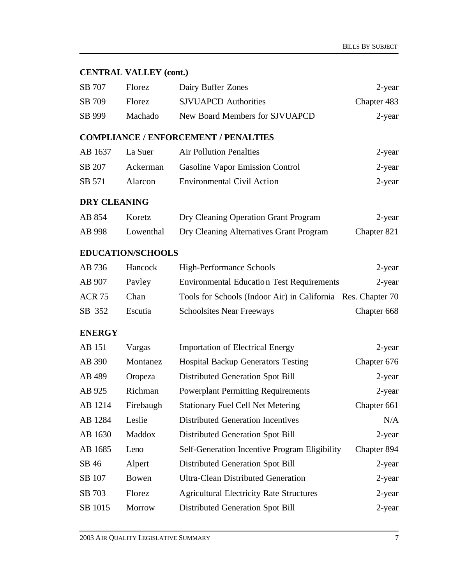#### **CENTRAL VALLEY (cont.)**

| SB 707 | Florez. | Dairy Buffer Zones             | 2-year      |
|--------|---------|--------------------------------|-------------|
| SB 709 | Florez. | <b>SJVUAPCD</b> Authorities    | Chapter 483 |
| SB 999 | Machado | New Board Members for SJVUAPCD | 2-year      |

#### **COMPLIANCE / ENFORCEMENT / PENALTIES**

| AB 1637 | La Suer        | <b>Air Pollution Penalties</b>         | 2-year |
|---------|----------------|----------------------------------------|--------|
| SB 207  | Ackerman       | <b>Gasoline Vapor Emission Control</b> | 2-year |
| SB 571  | <b>Alarcon</b> | <b>Environmental Civil Action</b>      | 2-year |

#### **DRY CLEANING**

| AB 854 | Koretz    | Dry Cleaning Operation Grant Program    | 2-year      |
|--------|-----------|-----------------------------------------|-------------|
| AB 998 | Lowenthal | Dry Cleaning Alternatives Grant Program | Chapter 821 |

## **EDUCATION/SCHOOLS**

| AB 736        | Hancock | High-Performance Schools                                     | 2-year      |
|---------------|---------|--------------------------------------------------------------|-------------|
| AB 907        | Payley  | <b>Environmental Education Test Requirements</b>             | 2-year      |
| <b>ACR 75</b> | Chan    | Tools for Schools (Indoor Air) in California Res. Chapter 70 |             |
| SB 352        | Escutia | <b>Schoolsites Near Freeways</b>                             | Chapter 668 |

### **ENERGY**

| AB 151  | Vargas        | <b>Importation of Electrical Energy</b>         | $2$ -year   |
|---------|---------------|-------------------------------------------------|-------------|
| AB 390  | Montanez      | <b>Hospital Backup Generators Testing</b>       | Chapter 676 |
| AB 489  | Oropeza       | Distributed Generation Spot Bill                | 2-year      |
| AB 925  | Richman       | <b>Powerplant Permitting Requirements</b>       | 2-year      |
| AB 1214 | Firebaugh     | <b>Stationary Fuel Cell Net Metering</b>        | Chapter 661 |
| AB 1284 | Leslie        | <b>Distributed Generation Incentives</b>        | N/A         |
| AB 1630 | Maddox        | Distributed Generation Spot Bill                | 2-year      |
| AB 1685 | Leno          | Self-Generation Incentive Program Eligibility   | Chapter 894 |
| SB 46   | Alpert        | Distributed Generation Spot Bill                | 2-year      |
| SB 107  | Bowen         | <b>Ultra-Clean Distributed Generation</b>       | $2$ -year   |
| SB 703  | Florez        | <b>Agricultural Electricity Rate Structures</b> | 2-year      |
| SB 1015 | <b>Morrow</b> | Distributed Generation Spot Bill                | $2$ -year   |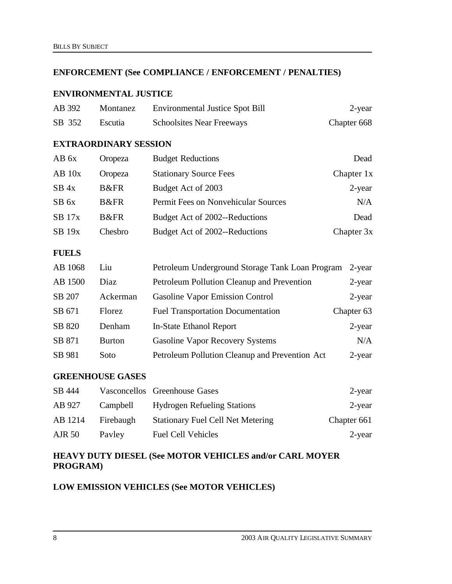#### **ENFORCEMENT (See COMPLIANCE / ENFORCEMENT / PENALTIES)**

#### **ENVIRONMENTAL JUSTICE**

| AB 392 | Montanez | <b>Environmental Justice Spot Bill</b> | 2-year      |
|--------|----------|----------------------------------------|-------------|
| SB 352 | Escutia  | <b>Schoolsites Near Freeways</b>       | Chapter 668 |

#### **EXTRAORDINARY SESSION**

| AB 6x            | Oropeza      | <b>Budget Reductions</b>            | Dead       |
|------------------|--------------|-------------------------------------|------------|
| $AB$ 10x         | Oropeza      | <b>Stationary Source Fees</b>       | Chapter 1x |
| $SB$ 4x          | B&FR         | Budget Act of 2003                  | 2-year     |
| SB <sub>6x</sub> | <b>B</b> &FR | Permit Fees on Nonvehicular Sources | N/A        |
| $SB$ 17 $x$      | <b>B</b> &FR | Budget Act of 2002--Reductions      | Dead       |
| $SB$ 19 $x$      | Chesbro      | Budget Act of 2002--Reductions      | Chapter 3x |

### **FUELS**

| AB 1068 | Liu           | Petroleum Underground Storage Tank Loan Program | 2-year     |
|---------|---------------|-------------------------------------------------|------------|
| AB 1500 | Diaz          | Petroleum Pollution Cleanup and Prevention      | 2-year     |
| SB 207  | Ackerman      | <b>Gasoline Vapor Emission Control</b>          | $2$ -year  |
| SB 671  | Florez        | <b>Fuel Transportation Documentation</b>        | Chapter 63 |
| SB 820  | Denham        | In-State Ethanol Report                         | $2$ -year  |
| SB 871  | <b>Burton</b> | <b>Gasoline Vapor Recovery Systems</b>          | N/A        |
| SB 981  | Soto          | Petroleum Pollution Cleanup and Prevention Act  | $2$ -year  |

#### **GREENHOUSE GASES**

| SB 444        |           | Vasconcellos Greenhouse Gases            | 2-year      |
|---------------|-----------|------------------------------------------|-------------|
| AB 927        | Campbell  | <b>Hydrogen Refueling Stations</b>       | 2-year      |
| AB 1214       | Firebaugh | <b>Stationary Fuel Cell Net Metering</b> | Chapter 661 |
| <b>AJR 50</b> | Payley    | <b>Fuel Cell Vehicles</b>                | 2-year      |

## **HEAVY DUTY DIESEL (See MOTOR VEHICLES and/or CARL MOYER PROGRAM)**

#### **LOW EMISSION VEHICLES (See MOTOR VEHICLES)**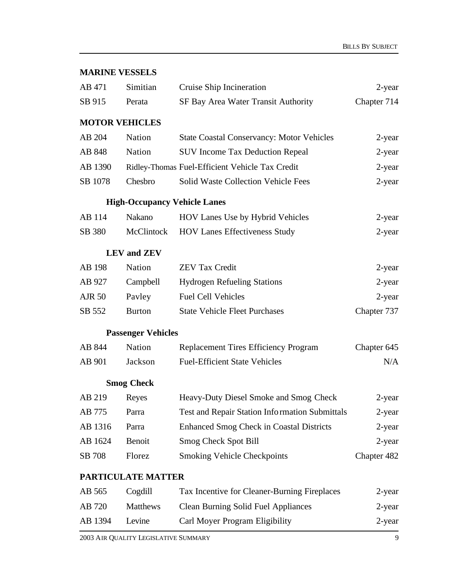### **MARINE VESSELS**

| AB 471        | Simitian                  | Cruise Ship Incineration                         | $2$ -year   |
|---------------|---------------------------|--------------------------------------------------|-------------|
| SB 915        | Perata                    | SF Bay Area Water Transit Authority              | Chapter 714 |
|               | <b>MOTOR VEHICLES</b>     |                                                  |             |
| AB 204        | Nation                    | <b>State Coastal Conservancy: Motor Vehicles</b> | 2-year      |
| AB 848        | Nation                    | <b>SUV Income Tax Deduction Repeal</b>           | 2-year      |
| AB 1390       |                           | Ridley-Thomas Fuel-Efficient Vehicle Tax Credit  | $2$ -year   |
| SB 1078       | Chesbro                   | Solid Waste Collection Vehicle Fees              | 2-year      |
|               |                           | <b>High-Occupancy Vehicle Lanes</b>              |             |
| AB 114        | Nakano                    | HOV Lanes Use by Hybrid Vehicles                 | 2-year      |
| SB 380        | McClintock                | <b>HOV Lanes Effectiveness Study</b>             | 2-year      |
|               | <b>LEV</b> and <b>ZEV</b> |                                                  |             |
| AB 198        | Nation                    | <b>ZEV Tax Credit</b>                            | 2-year      |
| AB 927        | Campbell                  | <b>Hydrogen Refueling Stations</b>               | 2-year      |
| <b>AJR 50</b> | Payley                    | <b>Fuel Cell Vehicles</b>                        | 2-year      |
| SB 552        | <b>Burton</b>             | <b>State Vehicle Fleet Purchases</b>             | Chapter 737 |
|               | <b>Passenger Vehicles</b> |                                                  |             |
| AB 844        | Nation                    | <b>Replacement Tires Efficiency Program</b>      | Chapter 645 |
| AB 901        | Jackson                   | <b>Fuel-Efficient State Vehicles</b>             | N/A         |
|               | <b>Smog Check</b>         |                                                  |             |
| AB 219        | Reyes                     | Heavy-Duty Diesel Smoke and Smog Check           | 2-year      |
| AB 775        | Parra                     | Test and Repair Station Information Submittals   | 2-year      |
| AB 1316       | Parra                     | <b>Enhanced Smog Check in Coastal Districts</b>  | 2-year      |
| AB 1624       | Benoit                    | Smog Check Spot Bill                             | 2-year      |
| SB 708        | Florez                    | <b>Smoking Vehicle Checkpoints</b>               | Chapter 482 |
|               | PARTICULATE MATTER        |                                                  |             |
| AB 565        | Cogdill                   | Tax Incentive for Cleaner-Burning Fireplaces     | 2-year      |
| AB 720        | Matthews                  | <b>Clean Burning Solid Fuel Appliances</b>       | 2-year      |
| AB 1394       | Levine                    | Carl Moyer Program Eligibility                   | 2-year      |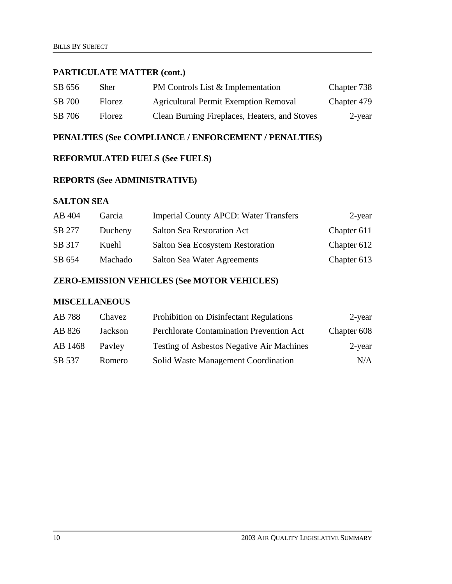#### **PARTICULATE MATTER (cont.)**

| SB 656 | Sher          | PM Controls List & Implementation             | Chapter 738 |
|--------|---------------|-----------------------------------------------|-------------|
| SB 700 | Florez.       | <b>Agricultural Permit Exemption Removal</b>  | Chapter 479 |
| SB 706 | <b>Florez</b> | Clean Burning Fireplaces, Heaters, and Stoves | 2-year      |

### **PENALTIES (See COMPLIANCE / ENFORCEMENT / PENALTIES)**

#### **REFORMULATED FUELS (See FUELS)**

## **REPORTS (See ADMINISTRATIVE)**

#### **SALTON SEA**

| AB 404 | Garcia  | <b>Imperial County APCD: Water Transfers</b> | 2-year      |
|--------|---------|----------------------------------------------|-------------|
| SB 277 | Ducheny | <b>Salton Sea Restoration Act</b>            | Chapter 611 |
| SB 317 | Kuehl   | Salton Sea Ecosystem Restoration             | Chapter 612 |
| SB 654 | Machado | <b>Salton Sea Water Agreements</b>           | Chapter 613 |

## **ZERO-EMISSION VEHICLES (See MOTOR VEHICLES)**

### **MISCELLANEOUS**

| AB 788  | Chavez  | Prohibition on Disinfectant Regulations          | 2-year      |
|---------|---------|--------------------------------------------------|-------------|
| AB 826  | Jackson | Perchlorate Contamination Prevention Act         | Chapter 608 |
| AB 1468 | Payley  | <b>Testing of Asbestos Negative Air Machines</b> | 2-year      |
| SB 537  | Romero  | Solid Waste Management Coordination              | N/A         |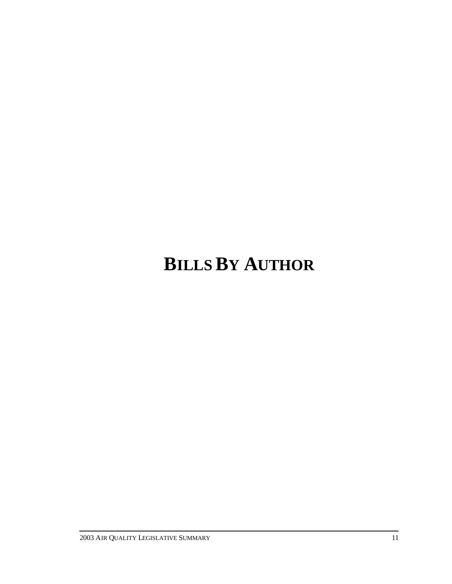# **BILLS BY AUTHOR**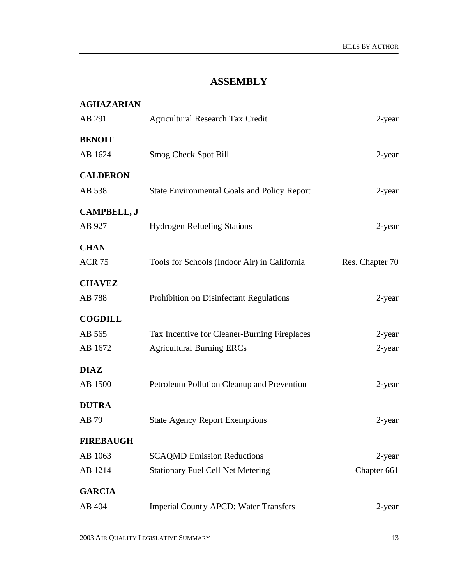## **ASSEMBLY**

| <b>AGHAZARIAN</b>  |                                                    |                 |
|--------------------|----------------------------------------------------|-----------------|
| AB 291             | <b>Agricultural Research Tax Credit</b>            | 2-year          |
| <b>BENOIT</b>      |                                                    |                 |
| AB 1624            | Smog Check Spot Bill                               | 2-year          |
| <b>CALDERON</b>    |                                                    |                 |
| AB 538             | <b>State Environmental Goals and Policy Report</b> | 2-year          |
| <b>CAMPBELL, J</b> |                                                    |                 |
| AB 927             | <b>Hydrogen Refueling Stations</b>                 | 2-year          |
| <b>CHAN</b>        |                                                    |                 |
| <b>ACR 75</b>      | Tools for Schools (Indoor Air) in California       | Res. Chapter 70 |
| <b>CHAVEZ</b>      |                                                    |                 |
| AB 788             | Prohibition on Disinfectant Regulations            | 2-year          |
| <b>COGDILL</b>     |                                                    |                 |
| AB 565             | Tax Incentive for Cleaner-Burning Fireplaces       | 2-year          |
| AB 1672            | <b>Agricultural Burning ERCs</b>                   | $2$ -year       |
| <b>DIAZ</b>        |                                                    |                 |
| AB 1500            | Petroleum Pollution Cleanup and Prevention         | 2-year          |
| <b>DUTRA</b>       |                                                    |                 |
| AB 79              | <b>State Agency Report Exemptions</b>              | 2-year          |
| <b>FIREBAUGH</b>   |                                                    |                 |
| AB 1063            | <b>SCAQMD Emission Reductions</b>                  | 2-year          |
| AB 1214            | <b>Stationary Fuel Cell Net Metering</b>           | Chapter 661     |
| <b>GARCIA</b>      |                                                    |                 |
| AB 404             | <b>Imperial County APCD: Water Transfers</b>       | 2-year          |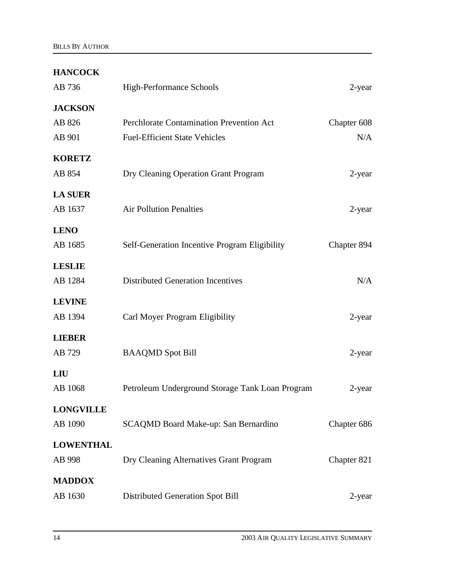## **HANCOCK**

| AB 736           | High-Performance Schools                        | 2-year      |
|------------------|-------------------------------------------------|-------------|
| <b>JACKSON</b>   |                                                 |             |
| AB 826           | Perchlorate Contamination Prevention Act        | Chapter 608 |
| AB 901           | <b>Fuel-Efficient State Vehicles</b>            | N/A         |
| <b>KORETZ</b>    |                                                 |             |
| AB 854           | Dry Cleaning Operation Grant Program            | 2-year      |
| <b>LA SUER</b>   |                                                 |             |
| AB 1637          | <b>Air Pollution Penalties</b>                  | 2-year      |
| <b>LENO</b>      |                                                 |             |
| AB 1685          | Self-Generation Incentive Program Eligibility   | Chapter 894 |
| <b>LESLIE</b>    |                                                 |             |
| AB 1284          | <b>Distributed Generation Incentives</b>        | N/A         |
| <b>LEVINE</b>    |                                                 |             |
| AB 1394          | Carl Moyer Program Eligibility                  | 2-year      |
| <b>LIEBER</b>    |                                                 |             |
| AB 729           | <b>BAAQMD</b> Spot Bill                         | 2-year      |
| LIU              |                                                 |             |
| AB 1068          | Petroleum Underground Storage Tank Loan Program | 2-year      |
| <b>LONGVILLE</b> |                                                 |             |
| AB 1090          | SCAQMD Board Make-up: San Bernardino            | Chapter 686 |
| <b>LOWENTHAL</b> |                                                 |             |
| AB 998           | Dry Cleaning Alternatives Grant Program         | Chapter 821 |
| <b>MADDOX</b>    |                                                 |             |
| AB 1630          | <b>Distributed Generation Spot Bill</b>         | 2-year      |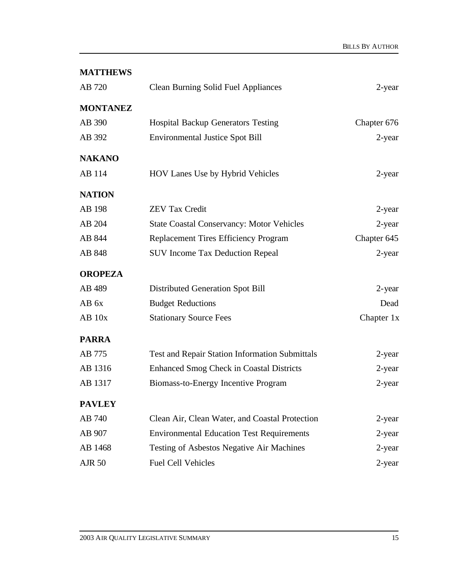| <b>MATTHEWS</b> |                                                       |             |
|-----------------|-------------------------------------------------------|-------------|
| AB 720          | <b>Clean Burning Solid Fuel Appliances</b>            | 2-year      |
| <b>MONTANEZ</b> |                                                       |             |
| AB 390          | <b>Hospital Backup Generators Testing</b>             | Chapter 676 |
| AB 392          | <b>Environmental Justice Spot Bill</b>                | 2-year      |
| <b>NAKANO</b>   |                                                       |             |
| AB 114          | HOV Lanes Use by Hybrid Vehicles                      | 2-year      |
| <b>NATION</b>   |                                                       |             |
| AB 198          | <b>ZEV Tax Credit</b>                                 | 2-year      |
| AB 204          | <b>State Coastal Conservancy: Motor Vehicles</b>      | 2-year      |
| AB 844          | <b>Replacement Tires Efficiency Program</b>           | Chapter 645 |
| AB 848          | <b>SUV Income Tax Deduction Repeal</b>                | 2-year      |
| <b>OROPEZA</b>  |                                                       |             |
| AB 489          | Distributed Generation Spot Bill                      | $2$ -year   |
| AB 6x           | <b>Budget Reductions</b>                              | Dead        |
| $AB$ 10 $x$     | <b>Stationary Source Fees</b>                         | Chapter 1x  |
| <b>PARRA</b>    |                                                       |             |
| AB 775          | <b>Test and Repair Station Information Submittals</b> | 2-year      |
| AB 1316         | <b>Enhanced Smog Check in Coastal Districts</b>       | 2-year      |
| AB 1317         | Biomass-to-Energy Incentive Program                   | 2-year      |
| <b>PAVLEY</b>   |                                                       |             |
| AB 740          | Clean Air, Clean Water, and Coastal Protection        | 2-year      |
| AB 907          | <b>Environmental Education Test Requirements</b>      | $2$ -year   |
| AB 1468         | Testing of Asbestos Negative Air Machines             | 2-year      |
| <b>AJR 50</b>   | <b>Fuel Cell Vehicles</b>                             | 2-year      |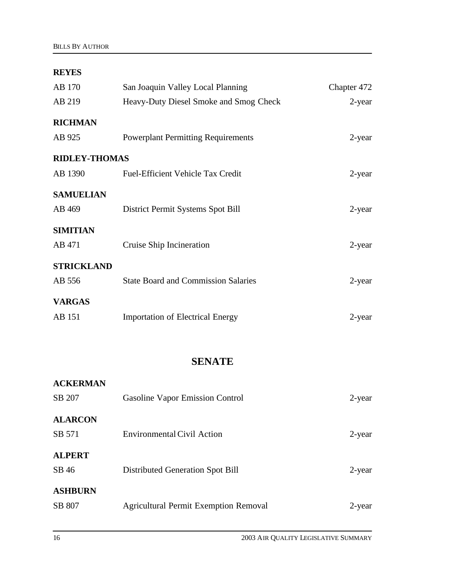### **REYES**

| AB 170               | San Joaquin Valley Local Planning          | Chapter 472 |
|----------------------|--------------------------------------------|-------------|
| AB 219               | Heavy-Duty Diesel Smoke and Smog Check     | 2-year      |
| <b>RICHMAN</b>       |                                            |             |
| AB 925               | <b>Powerplant Permitting Requirements</b>  | $2$ -year   |
| <b>RIDLEY-THOMAS</b> |                                            |             |
| AB 1390              | <b>Fuel-Efficient Vehicle Tax Credit</b>   | 2-year      |
| <b>SAMUELIAN</b>     |                                            |             |
| AB 469               | District Permit Systems Spot Bill          | $2$ -year   |
| <b>SIMITIAN</b>      |                                            |             |
| AB 471               | Cruise Ship Incineration                   | 2-year      |
| <b>STRICKLAND</b>    |                                            |             |
| AB 556               | <b>State Board and Commission Salaries</b> | $2$ -year   |
| <b>VARGAS</b>        |                                            |             |
| AB 151               | <b>Importation of Electrical Energy</b>    | 2-year      |
|                      |                                            |             |

## **SENATE**

| <b>ACKERMAN</b> |                                              |        |
|-----------------|----------------------------------------------|--------|
| SB 207          | Gasoline Vapor Emission Control              | 2-year |
| <b>ALARCON</b>  |                                              |        |
| SB 571          | Environmental Civil Action                   | 2-year |
| <b>ALPERT</b>   |                                              |        |
| SB 46           | Distributed Generation Spot Bill             | 2-year |
| <b>ASHBURN</b>  |                                              |        |
| SB 807          | <b>Agricultural Permit Exemption Removal</b> | 2-year |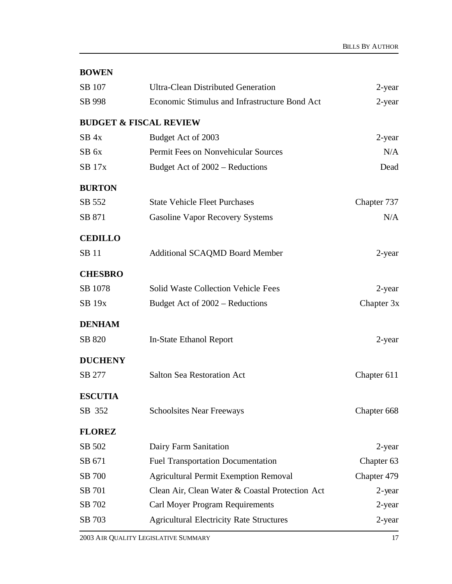| <b>BOWEN</b> |
|--------------|
|--------------|

| SB 107           | <b>Ultra-Clean Distributed Generation</b>       | 2-year      |
|------------------|-------------------------------------------------|-------------|
| SB 998           | Economic Stimulus and Infrastructure Bond Act   | 2-year      |
|                  | <b>BUDGET &amp; FISCAL REVIEW</b>               |             |
| $SB$ 4x          | Budget Act of 2003                              | 2-year      |
| SB <sub>6x</sub> | Permit Fees on Nonvehicular Sources             | N/A         |
| <b>SB</b> 17x    | Budget Act of 2002 – Reductions                 | Dead        |
| <b>BURTON</b>    |                                                 |             |
| SB 552           | <b>State Vehicle Fleet Purchases</b>            | Chapter 737 |
| SB 871           | <b>Gasoline Vapor Recovery Systems</b>          | N/A         |
| <b>CEDILLO</b>   |                                                 |             |
| <b>SB</b> 11     | <b>Additional SCAQMD Board Member</b>           | 2-year      |
| <b>CHESBRO</b>   |                                                 |             |
| SB 1078          | <b>Solid Waste Collection Vehicle Fees</b>      | 2-year      |
| <b>SB 19x</b>    | Budget Act of 2002 – Reductions                 | Chapter 3x  |
| <b>DENHAM</b>    |                                                 |             |
| SB 820           | In-State Ethanol Report                         | 2-year      |
| <b>DUCHENY</b>   |                                                 |             |
| SB 277           | <b>Salton Sea Restoration Act</b>               | Chapter 611 |
| <b>ESCUTIA</b>   |                                                 |             |
| SB 352           | <b>Schoolsites Near Freeways</b>                | Chapter 668 |
| <b>FLOREZ</b>    |                                                 |             |
| SB 502           | Dairy Farm Sanitation                           | 2-year      |
| SB 671           | <b>Fuel Transportation Documentation</b>        | Chapter 63  |
| SB 700           | <b>Agricultural Permit Exemption Removal</b>    | Chapter 479 |
| SB 701           | Clean Air, Clean Water & Coastal Protection Act | $2$ -year   |
| SB 702           | Carl Moyer Program Requirements                 | 2-year      |
| SB 703           | <b>Agricultural Electricity Rate Structures</b> | 2-year      |
|                  |                                                 |             |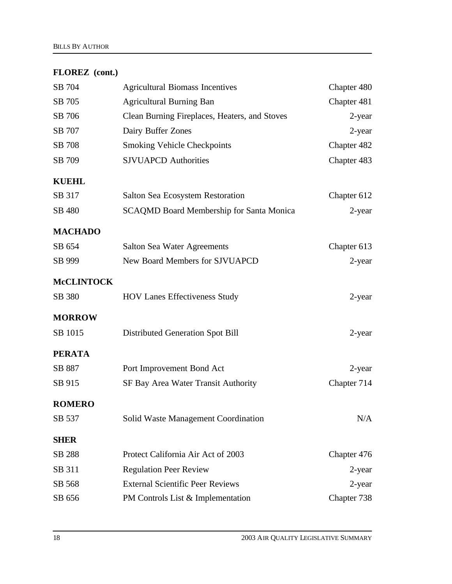## **FLOREZ (cont.)**

| SB 704            | <b>Agricultural Biomass Incentives</b>          | Chapter 480 |
|-------------------|-------------------------------------------------|-------------|
| SB 705            | <b>Agricultural Burning Ban</b>                 | Chapter 481 |
| SB 706            | Clean Burning Fireplaces, Heaters, and Stoves   | 2-year      |
| SB 707            | Dairy Buffer Zones                              | 2-year      |
| SB 708            | <b>Smoking Vehicle Checkpoints</b>              | Chapter 482 |
| SB 709            | <b>SJVUAPCD Authorities</b>                     | Chapter 483 |
| <b>KUEHL</b>      |                                                 |             |
| SB 317            | Salton Sea Ecosystem Restoration                | Chapter 612 |
| SB 480            | <b>SCAQMD Board Membership for Santa Monica</b> | 2-year      |
| <b>MACHADO</b>    |                                                 |             |
| SB 654            | Salton Sea Water Agreements                     | Chapter 613 |
| SB 999            | New Board Members for SJVUAPCD                  | 2-year      |
| <b>McCLINTOCK</b> |                                                 |             |
| SB 380            | <b>HOV Lanes Effectiveness Study</b>            | 2-year      |
| <b>MORROW</b>     |                                                 |             |
| SB 1015           | <b>Distributed Generation Spot Bill</b>         | 2-year      |
| <b>PERATA</b>     |                                                 |             |
| SB 887            | Port Improvement Bond Act                       | 2-year      |
| SB 915            | SF Bay Area Water Transit Authority             | Chapter 714 |
| <b>ROMERO</b>     |                                                 |             |
| SB 537            | Solid Waste Management Coordination             | N/A         |
| <b>SHER</b>       |                                                 |             |
| SB 288            | Protect California Air Act of 2003              | Chapter 476 |
| SB 311            | <b>Regulation Peer Review</b>                   | 2-year      |
| SB 568            | <b>External Scientific Peer Reviews</b>         | 2-year      |
| SB 656            | PM Controls List & Implementation               | Chapter 738 |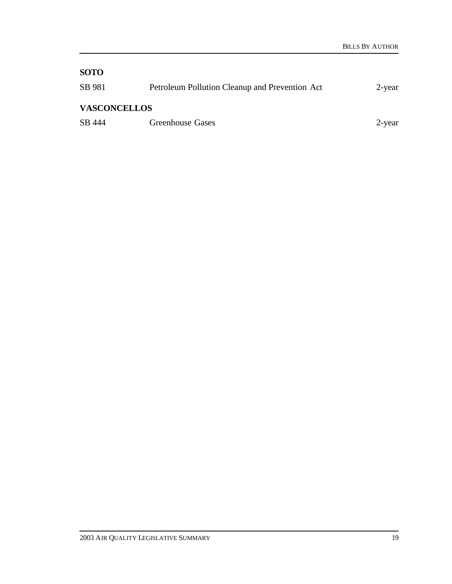## **SOTO**

| SB 981              | Petroleum Pollution Cleanup and Prevention Act | 2-year |
|---------------------|------------------------------------------------|--------|
| <b>VASCONCELLOS</b> |                                                |        |
| SB 444              | <b>Greenhouse Gases</b>                        | 2-year |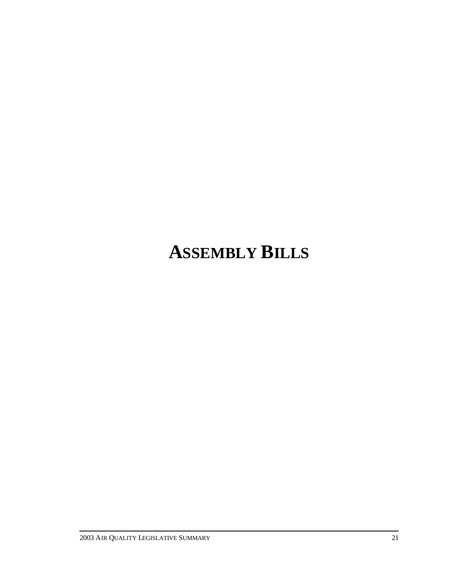# **ASSEMBLY BILLS**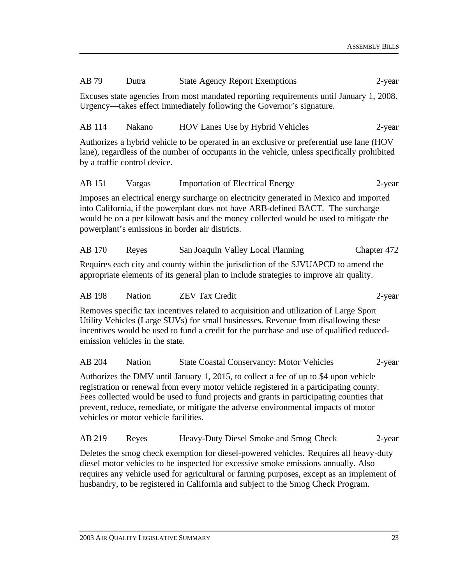| AB 79                                                                                                                                                                                                                                                                                                                                                                                                    | Dutra                                                                                                                                                                       | <b>State Agency Report Exemptions</b>                                                                                                                                                                                                                                                                                   | 2-year      |  |
|----------------------------------------------------------------------------------------------------------------------------------------------------------------------------------------------------------------------------------------------------------------------------------------------------------------------------------------------------------------------------------------------------------|-----------------------------------------------------------------------------------------------------------------------------------------------------------------------------|-------------------------------------------------------------------------------------------------------------------------------------------------------------------------------------------------------------------------------------------------------------------------------------------------------------------------|-------------|--|
| Excuses state agencies from most mandated reporting requirements until January 1, 2008.<br>Urgency—takes effect immediately following the Governor's signature.                                                                                                                                                                                                                                          |                                                                                                                                                                             |                                                                                                                                                                                                                                                                                                                         |             |  |
| AB 114                                                                                                                                                                                                                                                                                                                                                                                                   | Nakano                                                                                                                                                                      | HOV Lanes Use by Hybrid Vehicles                                                                                                                                                                                                                                                                                        | 2-year      |  |
|                                                                                                                                                                                                                                                                                                                                                                                                          | by a traffic control device.                                                                                                                                                | Authorizes a hybrid vehicle to be operated in an exclusive or preferential use lane (HOV<br>lane), regardless of the number of occupants in the vehicle, unless specifically prohibited                                                                                                                                 |             |  |
| AB 151                                                                                                                                                                                                                                                                                                                                                                                                   | Vargas                                                                                                                                                                      | <b>Importation of Electrical Energy</b>                                                                                                                                                                                                                                                                                 | $2$ -year   |  |
|                                                                                                                                                                                                                                                                                                                                                                                                          |                                                                                                                                                                             | Imposes an electrical energy surcharge on electricity generated in Mexico and imported<br>into California, if the powerplant does not have ARB-defined BACT. The surcharge<br>would be on a per kilowatt basis and the money collected would be used to mitigate the<br>powerplant's emissions in border air districts. |             |  |
| AB 170                                                                                                                                                                                                                                                                                                                                                                                                   | Reyes                                                                                                                                                                       | San Joaquin Valley Local Planning                                                                                                                                                                                                                                                                                       | Chapter 472 |  |
|                                                                                                                                                                                                                                                                                                                                                                                                          |                                                                                                                                                                             | Requires each city and county within the jurisdiction of the SJVUAPCD to amend the<br>appropriate elements of its general plan to include strategies to improve air quality.                                                                                                                                            |             |  |
| AB 198                                                                                                                                                                                                                                                                                                                                                                                                   | Nation                                                                                                                                                                      | <b>ZEV Tax Credit</b>                                                                                                                                                                                                                                                                                                   | 2-year      |  |
| Removes specific tax incentives related to acquisition and utilization of Large Sport<br>Utility Vehicles (Large SUVs) for small businesses. Revenue from disallowing these<br>incentives would be used to fund a credit for the purchase and use of qualified reduced-<br>emission vehicles in the state.                                                                                               |                                                                                                                                                                             |                                                                                                                                                                                                                                                                                                                         |             |  |
| AB 204                                                                                                                                                                                                                                                                                                                                                                                                   | <b>Nation</b>                                                                                                                                                               | <b>State Coastal Conservancy: Motor Vehicles</b>                                                                                                                                                                                                                                                                        | 2-year      |  |
| Authorizes the DMV until January 1, 2015, to collect a fee of up to \$4 upon vehicle<br>registration or renewal from every motor vehicle registered in a participating county.<br>Fees collected would be used to fund projects and grants in participating counties that<br>prevent, reduce, remediate, or mitigate the adverse environmental impacts of motor<br>vehicles or motor vehicle facilities. |                                                                                                                                                                             |                                                                                                                                                                                                                                                                                                                         |             |  |
| AB 219                                                                                                                                                                                                                                                                                                                                                                                                   | Reyes                                                                                                                                                                       | Heavy-Duty Diesel Smoke and Smog Check                                                                                                                                                                                                                                                                                  | 2-year      |  |
|                                                                                                                                                                                                                                                                                                                                                                                                          | Deletes the smog check exemption for diesel-powered vehicles. Requires all heavy-duty<br>diesel motor vehicles to be inspected for excessive smoke emissions annually. Also |                                                                                                                                                                                                                                                                                                                         |             |  |

requires any vehicle used for agricultural or farming purposes, except as an implement of

husbandry, to be registered in California and subject to the Smog Check Program.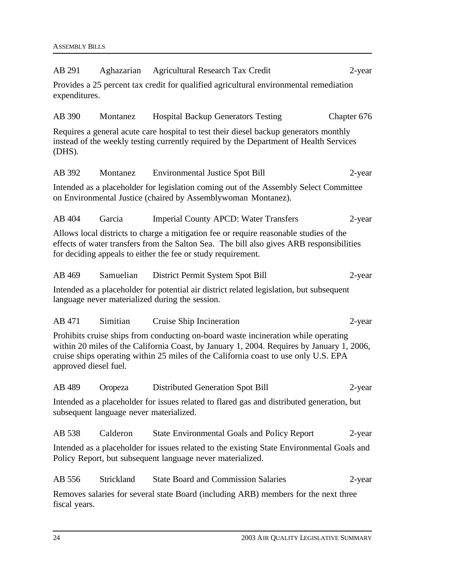| AB 291                | Aghazarian                              | <b>Agricultural Research Tax Credit</b>                                                                                                                                                                                                                                | 2-year      |
|-----------------------|-----------------------------------------|------------------------------------------------------------------------------------------------------------------------------------------------------------------------------------------------------------------------------------------------------------------------|-------------|
| expenditures.         |                                         | Provides a 25 percent tax credit for qualified agricultural environmental remediation                                                                                                                                                                                  |             |
| AB 390                | Montanez                                | <b>Hospital Backup Generators Testing</b>                                                                                                                                                                                                                              | Chapter 676 |
| (DHS).                |                                         | Requires a general acute care hospital to test their diesel backup generators monthly<br>instead of the weekly testing currently required by the Department of Health Services                                                                                         |             |
| AB 392                | Montanez                                | <b>Environmental Justice Spot Bill</b>                                                                                                                                                                                                                                 | 2-year      |
|                       |                                         | Intended as a placeholder for legislation coming out of the Assembly Select Committee<br>on Environmental Justice (chaired by Assemblywoman Montanez).                                                                                                                 |             |
| AB 404                | Garcia                                  | <b>Imperial County APCD: Water Transfers</b>                                                                                                                                                                                                                           | 2-year      |
|                       |                                         | Allows local districts to charge a mitigation fee or require reasonable studies of the<br>effects of water transfers from the Salton Sea. The bill also gives ARB responsibilities<br>for deciding appeals to either the fee or study requirement.                     |             |
| AB 469                | Samuelian                               | District Permit System Spot Bill                                                                                                                                                                                                                                       | 2-year      |
|                       |                                         | Intended as a placeholder for potential air district related legislation, but subsequent<br>language never materialized during the session.                                                                                                                            |             |
| AB 471                | Simitian                                | Cruise Ship Incineration                                                                                                                                                                                                                                               | 2-year      |
| approved diesel fuel. |                                         | Prohibits cruise ships from conducting on-board waste incineration while operating<br>within 20 miles of the California Coast, by January 1, 2004. Requires by January 1, 2006,<br>cruise ships operating within 25 miles of the California coast to use only U.S. EPA |             |
| AB 489                | Oropeza                                 | Distributed Generation Spot Bill                                                                                                                                                                                                                                       | $2$ -year   |
|                       | subsequent language never materialized. | Intended as a placeholder for issues related to flared gas and distributed generation, but                                                                                                                                                                             |             |
| AB 538                | Calderon                                | <b>State Environmental Goals and Policy Report</b>                                                                                                                                                                                                                     | 2-year      |
|                       |                                         | Intended as a placeholder for issues related to the existing State Environmental Goals and<br>Policy Report, but subsequent language never materialized.                                                                                                               |             |
| AB 556                | Strickland                              | <b>State Board and Commission Salaries</b>                                                                                                                                                                                                                             | 2-year      |
| fiscal years.         |                                         | Removes salaries for several state Board (including ARB) members for the next three                                                                                                                                                                                    |             |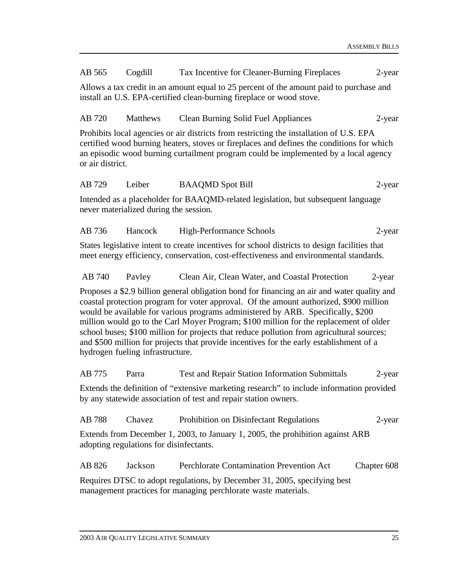AB 565 Cogdill Tax Incentive for Cleaner-Burning Fireplaces 2-year

Allows a tax credit in an amount equal to 25 percent of the amount paid to purchase and install an U.S. EPA-certified clean-burning fireplace or wood stove.

AB 720 Matthews Clean Burning Solid Fuel Appliances 2-year

Prohibits local agencies or air districts from restricting the installation of U.S. EPA certified wood burning heaters, stoves or fireplaces and defines the conditions for which an episodic wood burning curtailment program could be implemented by a local agency or air district.

#### AB 729 Leiber BAAQMD Spot Bill 2-year

Intended as a placeholder for BAAQMD-related legislation, but subsequent language never materialized during the session.

AB 736 Hancock High-Performance Schools 2-year

States legislative intent to create incentives for school districts to design facilities that meet energy efficiency, conservation, cost-effectiveness and environmental standards.

AB 740 Pavley Clean Air, Clean Water, and Coastal Protection 2-year

Proposes a \$2.9 billion general obligation bond for financing an air and water quality and coastal protection program for voter approval. Of the amount authorized, \$900 million would be available for various programs administered by ARB. Specifically, \$200 million would go to the Carl Moyer Program; \$100 million for the replacement of older school buses; \$100 million for projects that reduce pollution from agricultural sources; and \$500 million for projects that provide incentives for the early establishment of a hydrogen fueling infrastructure.

AB 775 Parra Test and Repair Station Information Submittals 2-year Extends the definition of "extensive marketing research" to include information provided by any statewide association of test and repair station owners.

AB 788 Chavez Prohibition on Disinfectant Regulations 2-year Extends from December 1, 2003, to January 1, 2005, the prohibition against ARB adopting regulations for disinfectants.

AB 826 Jackson Perchlorate Contamination Prevention Act Chapter 608 Requires DTSC to adopt regulations, by December 31, 2005, specifying best management practices for managing perchlorate waste materials.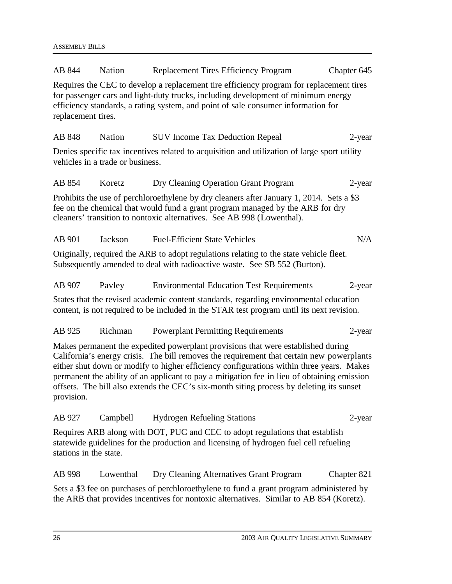| AB 844                                                                                                                                                                                                                                                                                                                                                                                                                                                                             | <b>Nation</b>                    | <b>Replacement Tires Efficiency Program</b>                                                                                                                                                                                                          | Chapter 645 |  |
|------------------------------------------------------------------------------------------------------------------------------------------------------------------------------------------------------------------------------------------------------------------------------------------------------------------------------------------------------------------------------------------------------------------------------------------------------------------------------------|----------------------------------|------------------------------------------------------------------------------------------------------------------------------------------------------------------------------------------------------------------------------------------------------|-------------|--|
| Requires the CEC to develop a replacement tire efficiency program for replacement tires<br>for passenger cars and light-duty trucks, including development of minimum energy<br>efficiency standards, a rating system, and point of sale consumer information for<br>replacement tires.                                                                                                                                                                                            |                                  |                                                                                                                                                                                                                                                      |             |  |
| AB 848                                                                                                                                                                                                                                                                                                                                                                                                                                                                             | <b>Nation</b>                    | <b>SUV Income Tax Deduction Repeal</b>                                                                                                                                                                                                               | 2-year      |  |
|                                                                                                                                                                                                                                                                                                                                                                                                                                                                                    | vehicles in a trade or business. | Denies specific tax incentives related to acquisition and utilization of large sport utility                                                                                                                                                         |             |  |
| AB 854                                                                                                                                                                                                                                                                                                                                                                                                                                                                             | Koretz                           | Dry Cleaning Operation Grant Program                                                                                                                                                                                                                 | 2-year      |  |
|                                                                                                                                                                                                                                                                                                                                                                                                                                                                                    |                                  | Prohibits the use of perchloroethylene by dry cleaners after January 1, 2014. Sets a \$3<br>fee on the chemical that would fund a grant program managed by the ARB for dry<br>cleaners' transition to nontoxic alternatives. See AB 998 (Lowenthal). |             |  |
| AB 901                                                                                                                                                                                                                                                                                                                                                                                                                                                                             | Jackson                          | <b>Fuel-Efficient State Vehicles</b>                                                                                                                                                                                                                 | N/A         |  |
|                                                                                                                                                                                                                                                                                                                                                                                                                                                                                    |                                  | Originally, required the ARB to adopt regulations relating to the state vehicle fleet.<br>Subsequently amended to deal with radioactive waste. See SB 552 (Burton).                                                                                  |             |  |
| AB 907                                                                                                                                                                                                                                                                                                                                                                                                                                                                             | Payley                           | <b>Environmental Education Test Requirements</b>                                                                                                                                                                                                     | $2$ -year   |  |
|                                                                                                                                                                                                                                                                                                                                                                                                                                                                                    |                                  | States that the revised academic content standards, regarding environmental education<br>content, is not required to be included in the STAR test program until its next revision.                                                                   |             |  |
| AB 925                                                                                                                                                                                                                                                                                                                                                                                                                                                                             | Richman                          | <b>Powerplant Permitting Requirements</b>                                                                                                                                                                                                            | 2-year      |  |
| Makes permanent the expedited powerplant provisions that were established during<br>California's energy crisis. The bill removes the requirement that certain new powerplants<br>either shut down or modify to higher efficiency configurations within three years. Makes<br>permanent the ability of an applicant to pay a mitigation fee in lieu of obtaining emission<br>offsets. The bill also extends the CEC's six-month siting process by deleting its sunset<br>provision. |                                  |                                                                                                                                                                                                                                                      |             |  |
| AB 927                                                                                                                                                                                                                                                                                                                                                                                                                                                                             | Campbell                         | <b>Hydrogen Refueling Stations</b>                                                                                                                                                                                                                   | 2-year      |  |
| stations in the state.                                                                                                                                                                                                                                                                                                                                                                                                                                                             |                                  | Requires ARB along with DOT, PUC and CEC to adopt regulations that establish<br>statewide guidelines for the production and licensing of hydrogen fuel cell refueling                                                                                |             |  |
| AB 998                                                                                                                                                                                                                                                                                                                                                                                                                                                                             | Lowenthal                        | Dry Cleaning Alternatives Grant Program                                                                                                                                                                                                              | Chapter 821 |  |
|                                                                                                                                                                                                                                                                                                                                                                                                                                                                                    |                                  | Sets a \$3 fee on purchases of perchloroethylene to fund a grant program administered by<br>the ARB that provides incentives for nontoxic alternatives. Similar to AB 854 (Koretz).                                                                  |             |  |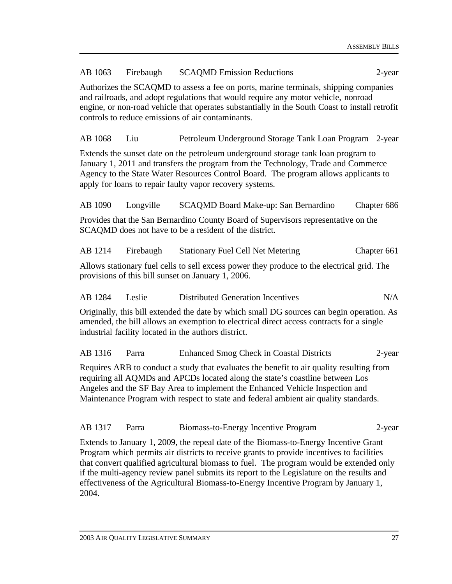| AB 1063                                                                                                                                                                                                                                                                                                                                                                   | Firebaugh | <b>SCAQMD Emission Reductions</b>                                                                                                                                                                                                                                                                                         | 2-year      |  |
|---------------------------------------------------------------------------------------------------------------------------------------------------------------------------------------------------------------------------------------------------------------------------------------------------------------------------------------------------------------------------|-----------|---------------------------------------------------------------------------------------------------------------------------------------------------------------------------------------------------------------------------------------------------------------------------------------------------------------------------|-------------|--|
| Authorizes the SCAQMD to assess a fee on ports, marine terminals, shipping companies<br>and railroads, and adopt regulations that would require any motor vehicle, nonroad<br>engine, or non-road vehicle that operates substantially in the South Coast to install retrofit<br>controls to reduce emissions of air contaminants.                                         |           |                                                                                                                                                                                                                                                                                                                           |             |  |
| AB 1068                                                                                                                                                                                                                                                                                                                                                                   | Liu       | Petroleum Underground Storage Tank Loan Program 2-year                                                                                                                                                                                                                                                                    |             |  |
|                                                                                                                                                                                                                                                                                                                                                                           |           | Extends the sunset date on the petroleum underground storage tank loan program to<br>January 1, 2011 and transfers the program from the Technology, Trade and Commerce<br>Agency to the State Water Resources Control Board. The program allows applicants to<br>apply for loans to repair faulty vapor recovery systems. |             |  |
| AB 1090                                                                                                                                                                                                                                                                                                                                                                   | Longville | SCAQMD Board Make-up: San Bernardino                                                                                                                                                                                                                                                                                      | Chapter 686 |  |
|                                                                                                                                                                                                                                                                                                                                                                           |           | Provides that the San Bernardino County Board of Supervisors representative on the<br>SCAQMD does not have to be a resident of the district.                                                                                                                                                                              |             |  |
| AB 1214                                                                                                                                                                                                                                                                                                                                                                   | Firebaugh | <b>Stationary Fuel Cell Net Metering</b>                                                                                                                                                                                                                                                                                  | Chapter 661 |  |
|                                                                                                                                                                                                                                                                                                                                                                           |           | Allows stationary fuel cells to sell excess power they produce to the electrical grid. The<br>provisions of this bill sunset on January 1, 2006.                                                                                                                                                                          |             |  |
| AB 1284                                                                                                                                                                                                                                                                                                                                                                   | Leslie    | <b>Distributed Generation Incentives</b>                                                                                                                                                                                                                                                                                  | N/A         |  |
| Originally, this bill extended the date by which small DG sources can begin operation. As<br>amended, the bill allows an exemption to electrical direct access contracts for a single<br>industrial facility located in the authors district.                                                                                                                             |           |                                                                                                                                                                                                                                                                                                                           |             |  |
| AB 1316                                                                                                                                                                                                                                                                                                                                                                   | Parra     | Enhanced Smog Check in Coastal Districts                                                                                                                                                                                                                                                                                  | 2-year      |  |
| Requires ARB to conduct a study that evaluates the benefit to air quality resulting from<br>requiring all AQMDs and APCDs located along the state's coastline between Los<br>Angeles and the SF Bay Area to implement the Enhanced Vehicle Inspection and<br>Maintenance Program with respect to state and federal ambient air quality standards.                         |           |                                                                                                                                                                                                                                                                                                                           |             |  |
| AB 1317                                                                                                                                                                                                                                                                                                                                                                   | Parra     | Biomass-to-Energy Incentive Program                                                                                                                                                                                                                                                                                       | 2-year      |  |
| Extends to January 1, 2009, the repeal date of the Biomass-to-Energy Incentive Grant<br>Program which permits air districts to receive grants to provide incentives to facilities<br>that convert qualified agricultural biomass to fuel. The program would be extended only<br>if the multi-agency review panel submits its report to the Legislature on the results and |           |                                                                                                                                                                                                                                                                                                                           |             |  |

effectiveness of the Agricultural Biomass-to-Energy Incentive Program by January 1,

2004.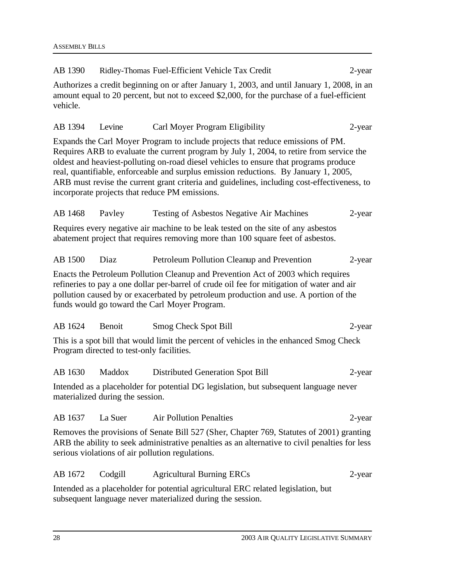| AB 1390  |                                           | Ridley-Thomas Fuel-Efficient Vehicle Tax Credit                                                                                                                                                                                                                                                                                                                                                                                                                                                               | 2-year |
|----------|-------------------------------------------|---------------------------------------------------------------------------------------------------------------------------------------------------------------------------------------------------------------------------------------------------------------------------------------------------------------------------------------------------------------------------------------------------------------------------------------------------------------------------------------------------------------|--------|
| vehicle. |                                           | Authorizes a credit beginning on or after January 1, 2003, and until January 1, 2008, in an<br>amount equal to 20 percent, but not to exceed \$2,000, for the purchase of a fuel-efficient                                                                                                                                                                                                                                                                                                                    |        |
| AB 1394  | Levine                                    | Carl Moyer Program Eligibility                                                                                                                                                                                                                                                                                                                                                                                                                                                                                | 2-year |
|          |                                           | Expands the Carl Moyer Program to include projects that reduce emissions of PM.<br>Requires ARB to evaluate the current program by July 1, 2004, to retire from service the<br>oldest and heaviest-polluting on-road diesel vehicles to ensure that programs produce<br>real, quantifiable, enforceable and surplus emission reductions. By January 1, 2005,<br>ARB must revise the current grant criteria and guidelines, including cost-effectiveness, to<br>incorporate projects that reduce PM emissions. |        |
| AB 1468  | Payley                                    | <b>Testing of Asbestos Negative Air Machines</b>                                                                                                                                                                                                                                                                                                                                                                                                                                                              | 2-year |
|          |                                           | Requires every negative air machine to be leak tested on the site of any asbestos<br>abatement project that requires removing more than 100 square feet of asbestos.                                                                                                                                                                                                                                                                                                                                          |        |
| AB 1500  | Diaz                                      | Petroleum Pollution Cleanup and Prevention                                                                                                                                                                                                                                                                                                                                                                                                                                                                    | 2-year |
|          |                                           | Enacts the Petroleum Pollution Cleanup and Prevention Act of 2003 which requires<br>refineries to pay a one dollar per-barrel of crude oil fee for mitigation of water and air<br>pollution caused by or exacerbated by petroleum production and use. A portion of the<br>funds would go toward the Carl Moyer Program.                                                                                                                                                                                       |        |
| AB 1624  | Benoit                                    | <b>Smog Check Spot Bill</b>                                                                                                                                                                                                                                                                                                                                                                                                                                                                                   | 2-year |
|          | Program directed to test-only facilities. | This is a spot bill that would limit the percent of vehicles in the enhanced Smog Check                                                                                                                                                                                                                                                                                                                                                                                                                       |        |
| AB 1630  | Maddox                                    | Distributed Generation Spot Bill                                                                                                                                                                                                                                                                                                                                                                                                                                                                              | 2-year |
|          | materialized during the session.          | Intended as a placeholder for potential DG legislation, but subsequent language never                                                                                                                                                                                                                                                                                                                                                                                                                         |        |
| AB 1637  | La Suer                                   | <b>Air Pollution Penalties</b>                                                                                                                                                                                                                                                                                                                                                                                                                                                                                | 2-year |
|          |                                           | Removes the provisions of Senate Bill 527 (Sher, Chapter 769, Statutes of 2001) granting<br>ARB the ability to seek administrative penalties as an alternative to civil penalties for less<br>serious violations of air pollution regulations.                                                                                                                                                                                                                                                                |        |
| AB 1672  | Codgill                                   | <b>Agricultural Burning ERCs</b>                                                                                                                                                                                                                                                                                                                                                                                                                                                                              | 2-year |
|          |                                           | Intended as a placeholder for potential agricultural ERC related legislation, but<br>subsequent language never materialized during the session.                                                                                                                                                                                                                                                                                                                                                               |        |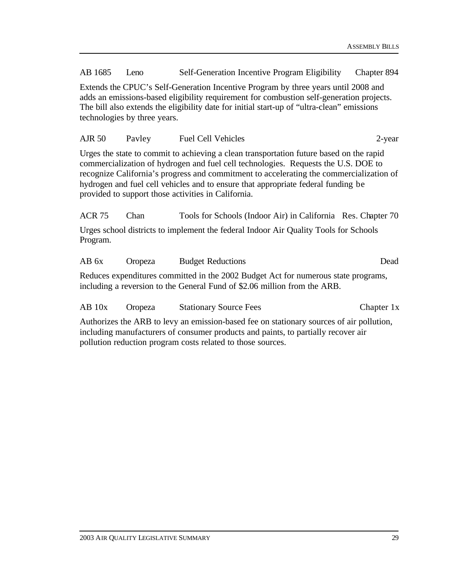AB 1685 Leno Self-Generation Incentive Program Eligibility Chapter 894

Extends the CPUC's Self-Generation Incentive Program by three years until 2008 and adds an emissions-based eligibility requirement for combustion self-generation projects. The bill also extends the eligibility date for initial start-up of "ultra-clean" emissions technologies by three years.

| <b>AJR 50</b> | Payley | <b>Fuel Cell Vehicles</b> | $2$ -vear |
|---------------|--------|---------------------------|-----------|
|---------------|--------|---------------------------|-----------|

Urges the state to commit to achieving a clean transportation future based on the rapid commercialization of hydrogen and fuel cell technologies. Requests the U.S. DOE to recognize California's progress and commitment to accelerating the commercialization of hydrogen and fuel cell vehicles and to ensure that appropriate federal funding be provided to support those activities in California.

ACR 75 Chan Tools for Schools (Indoor Air) in California Res. Chapter 70 Urges school districts to implement the federal Indoor Air Quality Tools for Schools Program.

| AB 6x | Oropeza | <b>Budget Reductions</b>                                                                                                                                        | Dead |
|-------|---------|-----------------------------------------------------------------------------------------------------------------------------------------------------------------|------|
|       |         | Reduces expenditures committed in the 2002 Budget Act for numerous state programs,<br>including a reversion to the General Fund of \$2.06 million from the ARB. |      |

| $AB$ 10x | Oropeza | <b>Stationary Source Fees</b> | Chapter 1x |
|----------|---------|-------------------------------|------------|
|          |         |                               |            |

Authorizes the ARB to levy an emission-based fee on stationary sources of air pollution, including manufacturers of consumer products and paints, to partially recover air pollution reduction program costs related to those sources.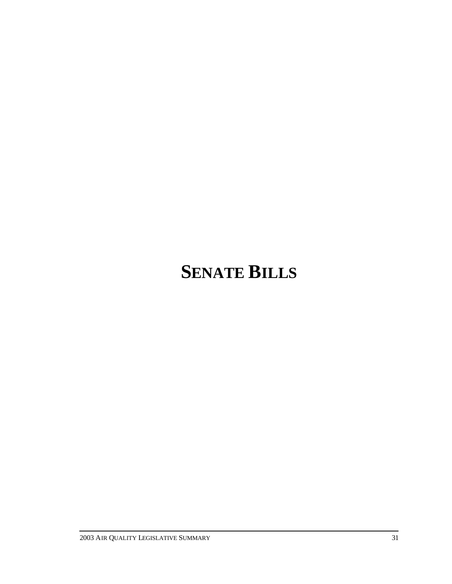# **SENATE BILLS**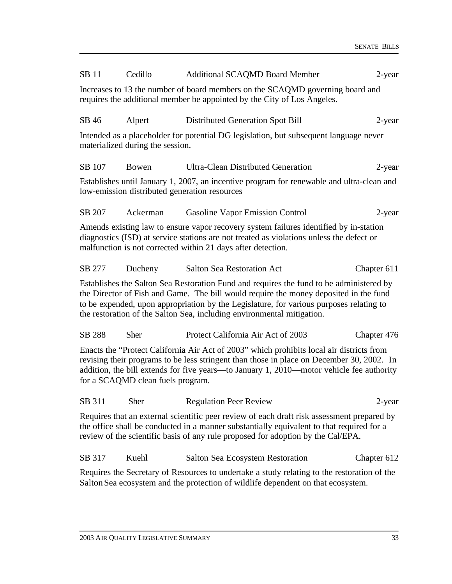| SB 11                                                                                                                                                                                                                                                                                                                  | Cedillo                                       | <b>Additional SCAQMD Board Member</b>                                                                                                                                                                                                                                                                                                                 | 2-year      |  |  |  |
|------------------------------------------------------------------------------------------------------------------------------------------------------------------------------------------------------------------------------------------------------------------------------------------------------------------------|-----------------------------------------------|-------------------------------------------------------------------------------------------------------------------------------------------------------------------------------------------------------------------------------------------------------------------------------------------------------------------------------------------------------|-------------|--|--|--|
| Increases to 13 the number of board members on the SCAQMD governing board and<br>requires the additional member be appointed by the City of Los Angeles.                                                                                                                                                               |                                               |                                                                                                                                                                                                                                                                                                                                                       |             |  |  |  |
| SB 46                                                                                                                                                                                                                                                                                                                  | Alpert                                        | Distributed Generation Spot Bill                                                                                                                                                                                                                                                                                                                      | 2-year      |  |  |  |
|                                                                                                                                                                                                                                                                                                                        | materialized during the session.              | Intended as a placeholder for potential DG legislation, but subsequent language never                                                                                                                                                                                                                                                                 |             |  |  |  |
| SB 107                                                                                                                                                                                                                                                                                                                 | <b>Bowen</b>                                  | <b>Ultra-Clean Distributed Generation</b>                                                                                                                                                                                                                                                                                                             | $2$ -year   |  |  |  |
|                                                                                                                                                                                                                                                                                                                        | low-emission distributed generation resources | Establishes until January 1, 2007, an incentive program for renewable and ultra-clean and                                                                                                                                                                                                                                                             |             |  |  |  |
| SB 207                                                                                                                                                                                                                                                                                                                 | Ackerman                                      | Gasoline Vapor Emission Control                                                                                                                                                                                                                                                                                                                       | $2$ -year   |  |  |  |
|                                                                                                                                                                                                                                                                                                                        |                                               | Amends existing law to ensure vapor recovery system failures identified by in-station<br>diagnostics (ISD) at service stations are not treated as violations unless the defect or<br>malfunction is not corrected within 21 days after detection.                                                                                                     |             |  |  |  |
| SB 277                                                                                                                                                                                                                                                                                                                 | Ducheny                                       | <b>Salton Sea Restoration Act</b>                                                                                                                                                                                                                                                                                                                     | Chapter 611 |  |  |  |
|                                                                                                                                                                                                                                                                                                                        |                                               | Establishes the Salton Sea Restoration Fund and requires the fund to be administered by<br>the Director of Fish and Game. The bill would require the money deposited in the fund<br>to be expended, upon appropriation by the Legislature, for various purposes relating to<br>the restoration of the Salton Sea, including environmental mitigation. |             |  |  |  |
| SB 288                                                                                                                                                                                                                                                                                                                 | <b>Sher</b>                                   | Protect California Air Act of 2003                                                                                                                                                                                                                                                                                                                    | Chapter 476 |  |  |  |
| Enacts the "Protect California Air Act of 2003" which prohibits local air districts from<br>revising their programs to be less stringent than those in place on December 30, 2002. In<br>addition, the bill extends for five years—to January 1, 2010—motor vehicle fee authority<br>for a SCAQMD clean fuels program. |                                               |                                                                                                                                                                                                                                                                                                                                                       |             |  |  |  |
| SB 311                                                                                                                                                                                                                                                                                                                 | Sher                                          | <b>Regulation Peer Review</b>                                                                                                                                                                                                                                                                                                                         | 2-year      |  |  |  |
|                                                                                                                                                                                                                                                                                                                        |                                               | Requires that an external scientific peer review of each draft risk assessment prepared by<br>the office shall be conducted in a manner substantially equivalent to that required for a<br>review of the scientific basis of any rule proposed for adoption by the Cal/EPA.                                                                           |             |  |  |  |
| SB 317                                                                                                                                                                                                                                                                                                                 | Kuehl                                         | Salton Sea Ecosystem Restoration                                                                                                                                                                                                                                                                                                                      | Chapter 612 |  |  |  |
|                                                                                                                                                                                                                                                                                                                        |                                               | Requires the Secretary of Resources to undertake a study relating to the restoration of the<br>Salton Sea ecosystem and the protection of wildlife dependent on that ecosystem.                                                                                                                                                                       |             |  |  |  |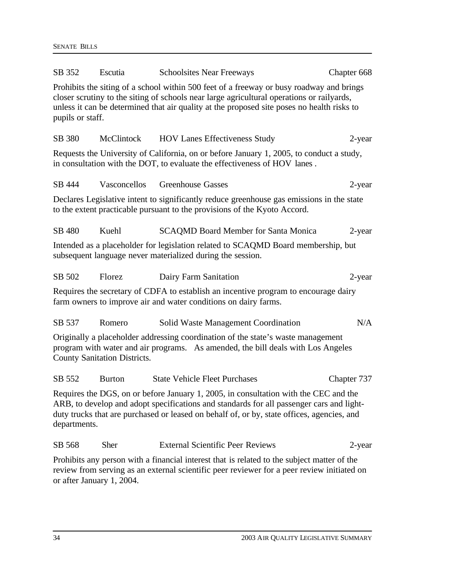| SB 352           | Escutia                             | <b>Schoolsites Near Freeways</b>                                                                                                                                                                                                                                                    | Chapter 668 |
|------------------|-------------------------------------|-------------------------------------------------------------------------------------------------------------------------------------------------------------------------------------------------------------------------------------------------------------------------------------|-------------|
| pupils or staff. |                                     | Prohibits the siting of a school within 500 feet of a freeway or busy roadway and brings<br>closer scrutiny to the siting of schools near large agricultural operations or railyards,<br>unless it can be determined that air quality at the proposed site poses no health risks to |             |
| SB 380           | <b>McClintock</b>                   | <b>HOV Lanes Effectiveness Study</b>                                                                                                                                                                                                                                                | 2-year      |
|                  |                                     | Requests the University of California, on or before January 1, 2005, to conduct a study,<br>in consultation with the DOT, to evaluate the effectiveness of HOV lanes.                                                                                                               |             |
| SB 444           | Vasconcellos                        | <b>Greenhouse Gasses</b>                                                                                                                                                                                                                                                            | 2-year      |
|                  |                                     | Declares Legislative intent to significantly reduce greenhouse gas emissions in the state<br>to the extent practicable pursuant to the provisions of the Kyoto Accord.                                                                                                              |             |
| SB 480           | Kuehl                               | <b>SCAQMD Board Member for Santa Monica</b>                                                                                                                                                                                                                                         | 2-year      |
|                  |                                     | Intended as a placeholder for legislation related to SCAQMD Board membership, but<br>subsequent language never materialized during the session.                                                                                                                                     |             |
| SB 502           | Florez                              | Dairy Farm Sanitation                                                                                                                                                                                                                                                               | $2$ -year   |
|                  |                                     | Requires the secretary of CDFA to establish an incentive program to encourage dairy<br>farm owners to improve air and water conditions on dairy farms.                                                                                                                              |             |
| SB 537           | Romero                              | Solid Waste Management Coordination                                                                                                                                                                                                                                                 | N/A         |
|                  | <b>County Sanitation Districts.</b> | Originally a placeholder addressing coordination of the state's waste management<br>program with water and air programs. As amended, the bill deals with Los Angeles                                                                                                                |             |
| SB 552           | <b>Burton</b>                       | <b>State Vehicle Fleet Purchases</b>                                                                                                                                                                                                                                                | Chapter 737 |
| departments.     |                                     | Requires the DGS, on or before January 1, 2005, in consultation with the CEC and the<br>ARB, to develop and adopt specifications and standards for all passenger cars and light-<br>duty trucks that are purchased or leased on behalf of, or by, state offices, agencies, and      |             |
| SB 568           | <b>Sher</b>                         | <b>External Scientific Peer Reviews</b>                                                                                                                                                                                                                                             | 2-year      |
|                  |                                     | Prohibits any person with a financial interest that is related to the subject matter of the                                                                                                                                                                                         |             |

review from serving as an external scientific peer reviewer for a peer review initiated on or after January 1, 2004.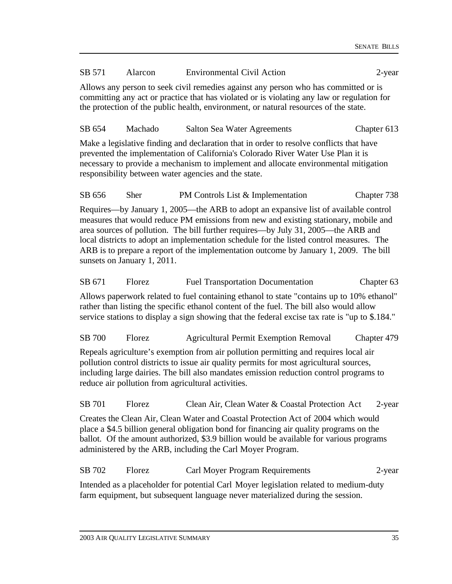### SB 571 Alarcon Environmental Civil Action 2-year

Allows any person to seek civil remedies against any person who has committed or is committing any act or practice that has violated or is violating any law or regulation for the protection of the public health, environment, or natural resources of the state.

## SB 654 Machado Salton Sea Water Agreements Chapter 613

Make a legislative finding and declaration that in order to resolve conflicts that have prevented the implementation of California's Colorado River Water Use Plan it is necessary to provide a mechanism to implement and allocate environmental mitigation responsibility between water agencies and the state.

SB 656 Sher PM Controls List & Implementation Chapter 738

Requires—by January 1, 2005—the ARB to adopt an expansive list of available control measures that would reduce PM emissions from new and existing stationary, mobile and area sources of pollution. The bill further requires—by July 31, 2005—the ARB and local districts to adopt an implementation schedule for the listed control measures. The ARB is to prepare a report of the implementation outcome by January 1, 2009. The bill sunsets on January 1, 2011.

SB 671 Florez Fuel Transportation Documentation Chapter 63 Allows paperwork related to fuel containing ethanol to state "contains up to 10% ethanol" rather than listing the specific ethanol content of the fuel. The bill also would allow service stations to display a sign showing that the federal excise tax rate is "up to \$.184."

SB 700 Florez Agricultural Permit Exemption Removal Chapter 479

Repeals agriculture's exemption from air pollution permitting and requires local air pollution control districts to issue air quality permits for most agricultural sources, including large dairies. The bill also mandates emission reduction control programs to reduce air pollution from agricultural activities.

SB 701 Florez Clean Air, Clean Water & Coastal Protection Act 2-year

Creates the Clean Air, Clean Water and Coastal Protection Act of 2004 which would place a \$4.5 billion general obligation bond for financing air quality programs on the ballot. Of the amount authorized, \$3.9 billion would be available for various programs administered by the ARB, including the Carl Moyer Program.

SB 702 Florez Carl Moyer Program Requirements 2-year

Intended as a placeholder for potential Carl Moyer legislation related to medium-duty farm equipment, but subsequent language never materialized during the session.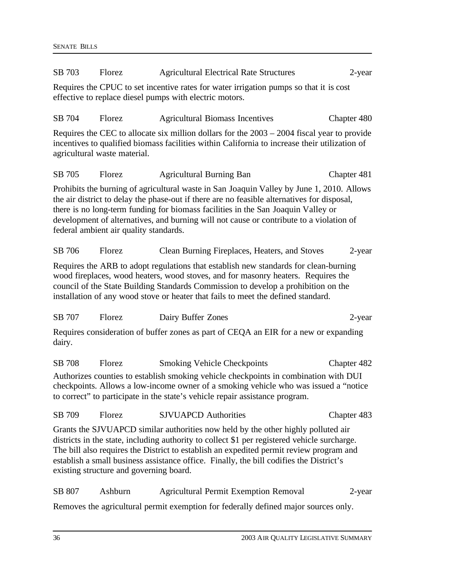| SB 703 | Florez<br><b>Agricultural Electrical Rate Structures</b><br>$2$ -year |                                                                                                                                                                                                                                                                                                                                                                          |             |
|--------|-----------------------------------------------------------------------|--------------------------------------------------------------------------------------------------------------------------------------------------------------------------------------------------------------------------------------------------------------------------------------------------------------------------------------------------------------------------|-------------|
|        |                                                                       | Requires the CPUC to set incentive rates for water irrigation pumps so that it is cost<br>effective to replace diesel pumps with electric motors.                                                                                                                                                                                                                        |             |
| SB 704 | Florez                                                                | <b>Agricultural Biomass Incentives</b>                                                                                                                                                                                                                                                                                                                                   | Chapter 480 |
|        | agricultural waste material.                                          | Requires the CEC to allocate six million dollars for the $2003 - 2004$ fiscal year to provide<br>incentives to qualified biomass facilities within California to increase their utilization of                                                                                                                                                                           |             |
| SB 705 | Florez                                                                | <b>Agricultural Burning Ban</b>                                                                                                                                                                                                                                                                                                                                          | Chapter 481 |
|        | federal ambient air quality standards.                                | Prohibits the burning of agricultural waste in San Joaquin Valley by June 1, 2010. Allows<br>the air district to delay the phase-out if there are no feasible alternatives for disposal,<br>there is no long-term funding for biomass facilities in the San Joaquin Valley or<br>development of alternatives, and burning will not cause or contribute to a violation of |             |
| SB 706 | Florez                                                                | Clean Burning Fireplaces, Heaters, and Stoves                                                                                                                                                                                                                                                                                                                            | 2-year      |
|        |                                                                       | Requires the ARB to adopt regulations that establish new standards for clean-burning<br>wood fireplaces, wood heaters, wood stoves, and for masonry heaters. Requires the<br>council of the State Building Standards Commission to develop a prohibition on the<br>installation of any wood stove or heater that fails to meet the defined standard.                     |             |
| SB 707 | Florez                                                                | Dairy Buffer Zones                                                                                                                                                                                                                                                                                                                                                       | 2-year      |
| dairy. |                                                                       | Requires consideration of buffer zones as part of CEQA an EIR for a new or expanding                                                                                                                                                                                                                                                                                     |             |
| SB 708 | Florez                                                                | <b>Smoking Vehicle Checkpoints</b>                                                                                                                                                                                                                                                                                                                                       | Chapter 482 |
|        |                                                                       | Authorizes counties to establish smoking vehicle checkpoints in combination with DUI<br>checkpoints. Allows a low-income owner of a smoking vehicle who was issued a "notice"<br>to correct" to participate in the state's vehicle repair assistance program.                                                                                                            |             |
| SB 709 | Florez                                                                | <b>SJVUAPCD</b> Authorities                                                                                                                                                                                                                                                                                                                                              | Chapter 483 |
|        | existing structure and governing board.                               | Grants the SJVUAPCD similar authorities now held by the other highly polluted air<br>districts in the state, including authority to collect \$1 per registered vehicle surcharge.<br>The bill also requires the District to establish an expedited permit review program and<br>establish a small business assistance office. Finally, the bill codifies the District's  |             |
| SB 807 | Ashburn                                                               | <b>Agricultural Permit Exemption Removal</b>                                                                                                                                                                                                                                                                                                                             | 2-year      |
|        |                                                                       | Removes the agricultural permit exemption for federally defined major sources only.                                                                                                                                                                                                                                                                                      |             |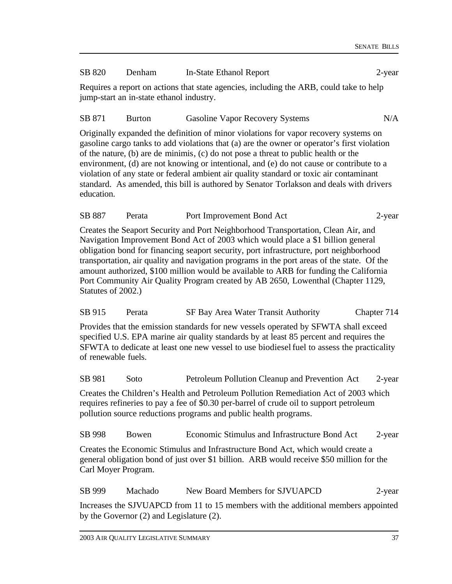#### SB 820 Denham In-State Ethanol Report 2-year

Requires a report on actions that state agencies, including the ARB, could take to help jump-start an in-state ethanol industry.

#### SB 871 Burton Gasoline Vapor Recovery Systems N/A

Originally expanded the definition of minor violations for vapor recovery systems on gasoline cargo tanks to add violations that (a) are the owner or operator's first violation of the nature, (b) are de minimis, (c) do not pose a threat to public health or the environment, (d) are not knowing or intentional, and (e) do not cause or contribute to a violation of any state or federal ambient air quality standard or toxic air contaminant standard. As amended, this bill is authored by Senator Torlakson and deals with drivers education.

| SB 887 | Perata | Port Improvement Bond Act | 2-year |
|--------|--------|---------------------------|--------|
|--------|--------|---------------------------|--------|

Creates the Seaport Security and Port Neighborhood Transportation, Clean Air, and Navigation Improvement Bond Act of 2003 which would place a \$1 billion general obligation bond for financing seaport security, port infrastructure, port neighborhood transportation, air quality and navigation programs in the port areas of the state. Of the amount authorized, \$100 million would be available to ARB for funding the California Port Community Air Quality Program created by AB 2650, Lowenthal (Chapter 1129, Statutes of 2002.)

| SB 915 | Perata | SF Bay Area Water Transit Authority | Chapter 714 |
|--------|--------|-------------------------------------|-------------|
|--------|--------|-------------------------------------|-------------|

Provides that the emission standards for new vessels operated by SFWTA shall exceed specified U.S. EPA marine air quality standards by at least 85 percent and requires the SFWTA to dedicate at least one new vessel to use biodiesel fuel to assess the practicality of renewable fuels.

SB 981 Soto Petroleum Pollution Cleanup and Prevention Act 2-year

Creates the Children's Health and Petroleum Pollution Remediation Act of 2003 which requires refineries to pay a fee of \$0.30 per-barrel of crude oil to support petroleum pollution source reductions programs and public health programs.

SB 998 Bowen Economic Stimulus and Infrastructure Bond Act 2-year

Creates the Economic Stimulus and Infrastructure Bond Act, which would create a general obligation bond of just over \$1 billion. ARB would receive \$50 million for the Carl Moyer Program.

SB 999 Machado New Board Members for SJVUAPCD 2-year

Increases the SJVUAPCD from 11 to 15 members with the additional members appointed by the Governor (2) and Legislature (2).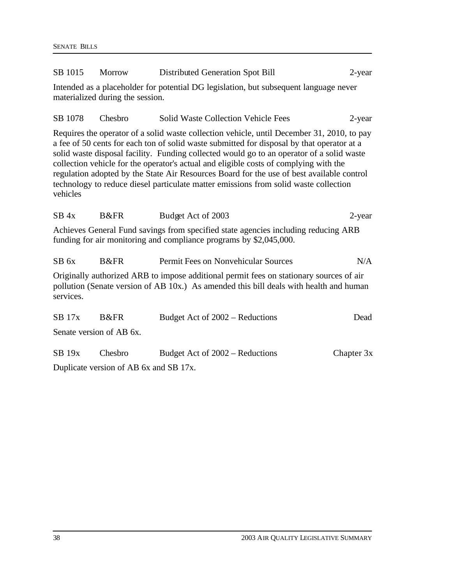| SB 1015                                                                                                                                                                                                                                                                                                                                                                                                                                                                                                                                                                         | Morrow                           | Distributed Generation Spot Bill                                                                                                                         | $2$ -year  |  |  |
|---------------------------------------------------------------------------------------------------------------------------------------------------------------------------------------------------------------------------------------------------------------------------------------------------------------------------------------------------------------------------------------------------------------------------------------------------------------------------------------------------------------------------------------------------------------------------------|----------------------------------|----------------------------------------------------------------------------------------------------------------------------------------------------------|------------|--|--|
|                                                                                                                                                                                                                                                                                                                                                                                                                                                                                                                                                                                 | materialized during the session. | Intended as a placeholder for potential DG legislation, but subsequent language never                                                                    |            |  |  |
| SB 1078                                                                                                                                                                                                                                                                                                                                                                                                                                                                                                                                                                         | Chesbro                          | <b>Solid Waste Collection Vehicle Fees</b>                                                                                                               | $2$ -year  |  |  |
| Requires the operator of a solid waste collection vehicle, until December 31, 2010, to pay<br>a fee of 50 cents for each ton of solid waste submitted for disposal by that operator at a<br>solid waste disposal facility. Funding collected would go to an operator of a solid waste<br>collection vehicle for the operator's actual and eligible costs of complying with the<br>regulation adopted by the State Air Resources Board for the use of best available control<br>technology to reduce diesel particulate matter emissions from solid waste collection<br>vehicles |                                  |                                                                                                                                                          |            |  |  |
| $SB$ 4x                                                                                                                                                                                                                                                                                                                                                                                                                                                                                                                                                                         | B&FR                             | Budget Act of 2003                                                                                                                                       | 2-year     |  |  |
|                                                                                                                                                                                                                                                                                                                                                                                                                                                                                                                                                                                 |                                  | Achieves General Fund savings from specified state agencies including reducing ARB<br>funding for air monitoring and compliance programs by \$2,045,000. |            |  |  |
| $SB$ 6x                                                                                                                                                                                                                                                                                                                                                                                                                                                                                                                                                                         | B&FR                             | Permit Fees on Nonvehicular Sources                                                                                                                      | N/A        |  |  |
| Originally authorized ARB to impose additional permit fees on stationary sources of air<br>pollution (Senate version of AB 10x.) As amended this bill deals with health and human<br>services.                                                                                                                                                                                                                                                                                                                                                                                  |                                  |                                                                                                                                                          |            |  |  |
| $SB$ 17 $x$                                                                                                                                                                                                                                                                                                                                                                                                                                                                                                                                                                     | <b>B</b> &FR                     | Budget Act of 2002 – Reductions                                                                                                                          | Dead       |  |  |
|                                                                                                                                                                                                                                                                                                                                                                                                                                                                                                                                                                                 | Senate version of AB 6x.         |                                                                                                                                                          |            |  |  |
| SB 19x                                                                                                                                                                                                                                                                                                                                                                                                                                                                                                                                                                          | Chesbro                          | Budget Act of 2002 – Reductions                                                                                                                          | Chapter 3x |  |  |

Duplicate version of AB 6x and SB 17x.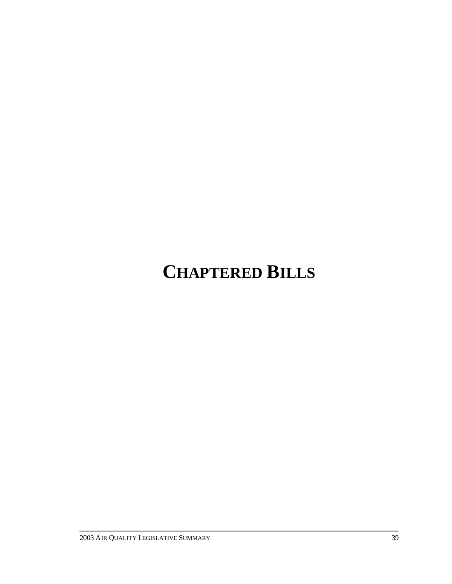# **CHAPTERED BILLS**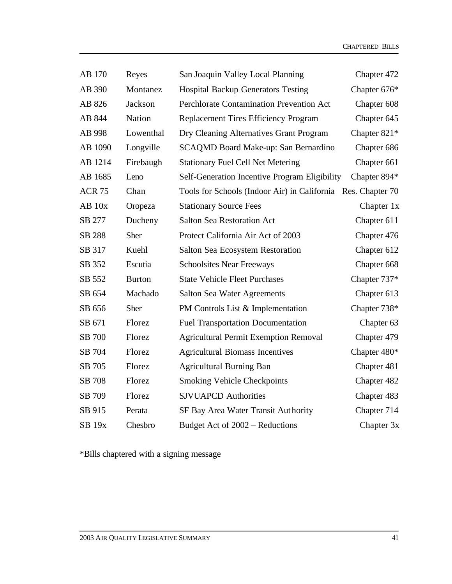| AB 170        | Reyes         | San Joaquin Valley Local Planning                            | Chapter 472    |
|---------------|---------------|--------------------------------------------------------------|----------------|
| AB 390        | Montanez      | <b>Hospital Backup Generators Testing</b>                    | Chapter 676*   |
| AB 826        | Jackson       | <b>Perchlorate Contamination Prevention Act</b>              | Chapter 608    |
| AB 844        | <b>Nation</b> | <b>Replacement Tires Efficiency Program</b>                  | Chapter 645    |
| AB 998        | Lowenthal     | Dry Cleaning Alternatives Grant Program                      | Chapter $821*$ |
| AB 1090       | Longville     | SCAQMD Board Make-up: San Bernardino                         | Chapter 686    |
| AB 1214       | Firebaugh     | <b>Stationary Fuel Cell Net Metering</b>                     | Chapter 661    |
| AB 1685       | Leno          | Self-Generation Incentive Program Eligibility                | Chapter 894*   |
| <b>ACR 75</b> | Chan          | Tools for Schools (Indoor Air) in California Res. Chapter 70 |                |
| $AB$ 10 $x$   | Oropeza       | <b>Stationary Source Fees</b>                                | Chapter 1x     |
| SB 277        | Ducheny       | <b>Salton Sea Restoration Act</b>                            | Chapter 611    |
| SB 288        | Sher          | Protect California Air Act of 2003                           | Chapter 476    |
| SB 317        | Kuehl         | Salton Sea Ecosystem Restoration                             | Chapter 612    |
| SB 352        | Escutia       | <b>Schoolsites Near Freeways</b>                             | Chapter 668    |
| SB 552        | <b>Burton</b> | <b>State Vehicle Fleet Purchases</b>                         | Chapter 737*   |
| SB 654        | Machado       | <b>Salton Sea Water Agreements</b>                           | Chapter 613    |
| SB 656        | Sher          | PM Controls List & Implementation                            | Chapter 738*   |
| SB 671        | Florez        | <b>Fuel Transportation Documentation</b>                     | Chapter 63     |
| SB 700        | Florez        | <b>Agricultural Permit Exemption Removal</b>                 | Chapter 479    |
| SB 704        | Florez        | <b>Agricultural Biomass Incentives</b>                       | Chapter 480*   |
| SB 705        | Florez        | <b>Agricultural Burning Ban</b>                              | Chapter 481    |
| SB 708        | Florez        | <b>Smoking Vehicle Checkpoints</b>                           | Chapter 482    |
| SB 709        | Florez        | <b>SJVUAPCD Authorities</b>                                  | Chapter 483    |
| SB 915        | Perata        | SF Bay Area Water Transit Authority                          | Chapter 714    |
| <b>SB 19x</b> | Chesbro       | Budget Act of 2002 - Reductions                              | Chapter 3x     |

\*Bills chaptered with a signing message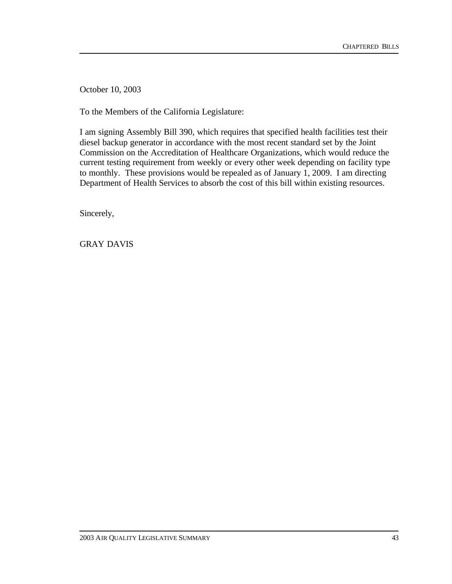October 10, 2003

To the Members of the California Legislature:

I am signing Assembly Bill 390, which requires that specified health facilities test their diesel backup generator in accordance with the most recent standard set by the Joint Commission on the Accreditation of Healthcare Organizations, which would reduce the current testing requirement from weekly or every other week depending on facility type to monthly. These provisions would be repealed as of January 1, 2009. I am directing Department of Health Services to absorb the cost of this bill within existing resources.

Sincerely,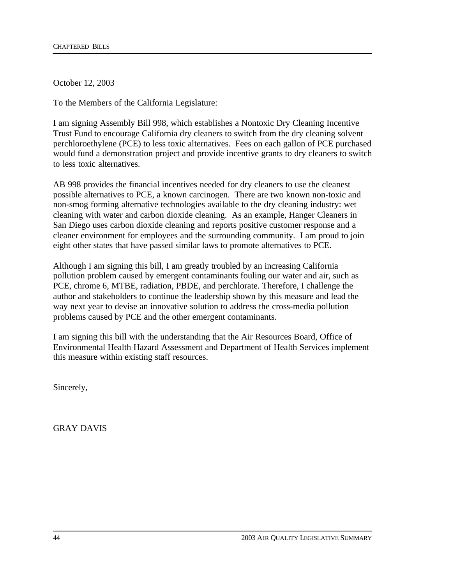October 12, 2003

To the Members of the California Legislature:

I am signing Assembly Bill 998, which establishes a Nontoxic Dry Cleaning Incentive Trust Fund to encourage California dry cleaners to switch from the dry cleaning solvent perchloroethylene (PCE) to less toxic alternatives. Fees on each gallon of PCE purchased would fund a demonstration project and provide incentive grants to dry cleaners to switch to less toxic alternatives.

AB 998 provides the financial incentives needed for dry cleaners to use the cleanest possible alternatives to PCE, a known carcinogen. There are two known non-toxic and non-smog forming alternative technologies available to the dry cleaning industry: wet cleaning with water and carbon dioxide cleaning. As an example, Hanger Cleaners in San Diego uses carbon dioxide cleaning and reports positive customer response and a cleaner environment for employees and the surrounding community. I am proud to join eight other states that have passed similar laws to promote alternatives to PCE.

Although I am signing this bill, I am greatly troubled by an increasing California pollution problem caused by emergent contaminants fouling our water and air, such as PCE, chrome 6, MTBE, radiation, PBDE, and perchlorate. Therefore, I challenge the author and stakeholders to continue the leadership shown by this measure and lead the way next year to devise an innovative solution to address the cross-media pollution problems caused by PCE and the other emergent contaminants.

I am signing this bill with the understanding that the Air Resources Board, Office of Environmental Health Hazard Assessment and Department of Health Services implement this measure within existing staff resources.

Sincerely,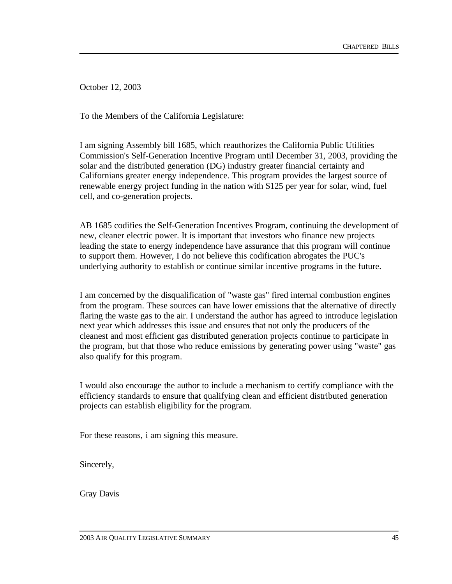October 12, 2003

To the Members of the California Legislature:

I am signing Assembly bill 1685, which reauthorizes the California Public Utilities Commission's Self-Generation Incentive Program until December 31, 2003, providing the solar and the distributed generation (DG) industry greater financial certainty and Californians greater energy independence. This program provides the largest source of renewable energy project funding in the nation with \$125 per year for solar, wind, fuel cell, and co-generation projects.

AB 1685 codifies the Self-Generation Incentives Program, continuing the development of new, cleaner electric power. It is important that investors who finance new projects leading the state to energy independence have assurance that this program will continue to support them. However, I do not believe this codification abrogates the PUC's underlying authority to establish or continue similar incentive programs in the future.

I am concerned by the disqualification of "waste gas" fired internal combustion engines from the program. These sources can have lower emissions that the alternative of directly flaring the waste gas to the air. I understand the author has agreed to introduce legislation next year which addresses this issue and ensures that not only the producers of the cleanest and most efficient gas distributed generation projects continue to participate in the program, but that those who reduce emissions by generating power using "waste" gas also qualify for this program.

I would also encourage the author to include a mechanism to certify compliance with the efficiency standards to ensure that qualifying clean and efficient distributed generation projects can establish eligibility for the program.

For these reasons, i am signing this measure.

Sincerely,

Gray Davis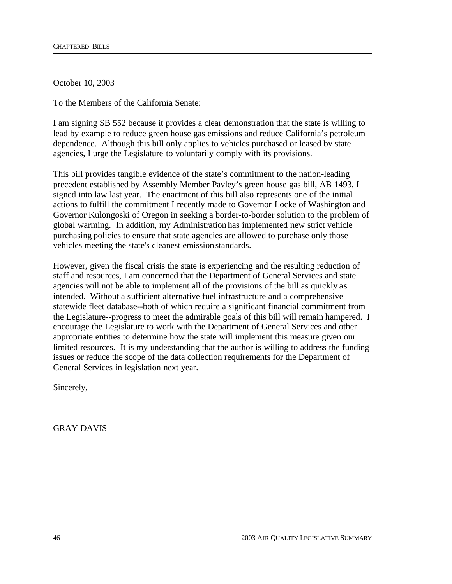October 10, 2003

To the Members of the California Senate:

I am signing SB 552 because it provides a clear demonstration that the state is willing to lead by example to reduce green house gas emissions and reduce California's petroleum dependence. Although this bill only applies to vehicles purchased or leased by state agencies, I urge the Legislature to voluntarily comply with its provisions.

This bill provides tangible evidence of the state's commitment to the nation-leading precedent established by Assembly Member Pavley's green house gas bill, AB 1493, I signed into law last year. The enactment of this bill also represents one of the initial actions to fulfill the commitment I recently made to Governor Locke of Washington and Governor Kulongoski of Oregon in seeking a border-to-border solution to the problem of global warming. In addition, my Administration has implemented new strict vehicle purchasing policies to ensure that state agencies are allowed to purchase only those vehicles meeting the state's cleanest emission standards.

However, given the fiscal crisis the state is experiencing and the resulting reduction of staff and resources, I am concerned that the Department of General Services and state agencies will not be able to implement all of the provisions of the bill as quickly as intended. Without a sufficient alternative fuel infrastructure and a comprehensive statewide fleet database--both of which require a significant financial commitment from the Legislature--progress to meet the admirable goals of this bill will remain hampered. I encourage the Legislature to work with the Department of General Services and other appropriate entities to determine how the state will implement this measure given our limited resources. It is my understanding that the author is willing to address the funding issues or reduce the scope of the data collection requirements for the Department of General Services in legislation next year.

Sincerely,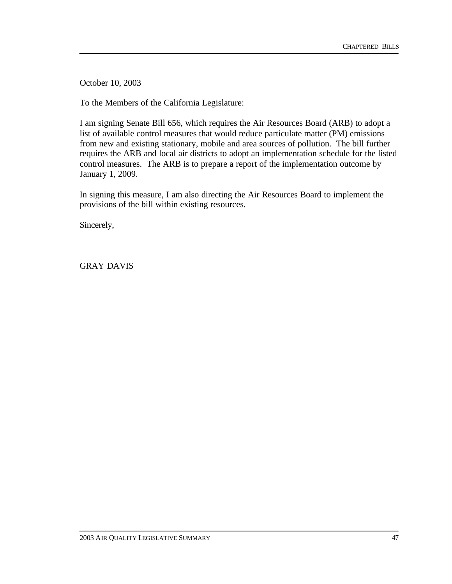October 10, 2003

To the Members of the California Legislature:

I am signing Senate Bill 656, which requires the Air Resources Board (ARB) to adopt a list of available control measures that would reduce particulate matter (PM) emissions from new and existing stationary, mobile and area sources of pollution. The bill further requires the ARB and local air districts to adopt an implementation schedule for the listed control measures. The ARB is to prepare a report of the implementation outcome by January 1, 2009.

In signing this measure, I am also directing the Air Resources Board to implement the provisions of the bill within existing resources.

Sincerely,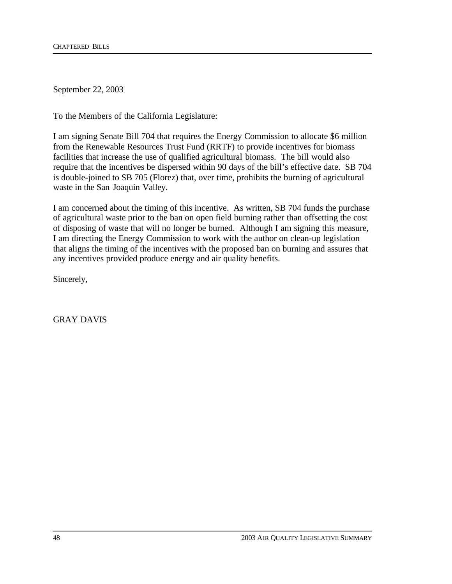September 22, 2003

To the Members of the California Legislature:

I am signing Senate Bill 704 that requires the Energy Commission to allocate \$6 million from the Renewable Resources Trust Fund (RRTF) to provide incentives for biomass facilities that increase the use of qualified agricultural biomass. The bill would also require that the incentives be dispersed within 90 days of the bill's effective date. SB 704 is double-joined to SB 705 (Florez) that, over time, prohibits the burning of agricultural waste in the San Joaquin Valley.

I am concerned about the timing of this incentive. As written, SB 704 funds the purchase of agricultural waste prior to the ban on open field burning rather than offsetting the cost of disposing of waste that will no longer be burned. Although I am signing this measure, I am directing the Energy Commission to work with the author on clean-up legislation that aligns the timing of the incentives with the proposed ban on burning and assures that any incentives provided produce energy and air quality benefits.

Sincerely,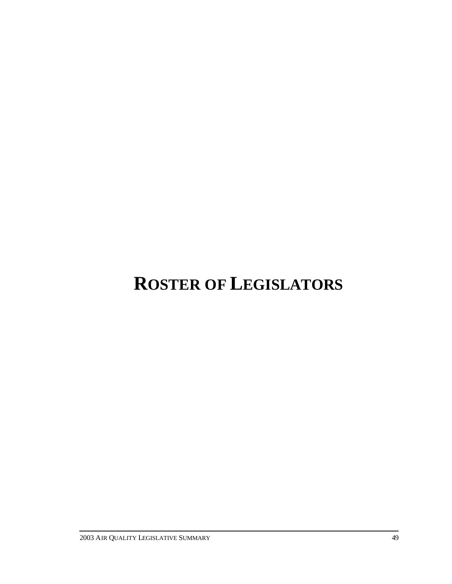# **ROSTER OF LEGISLATORS**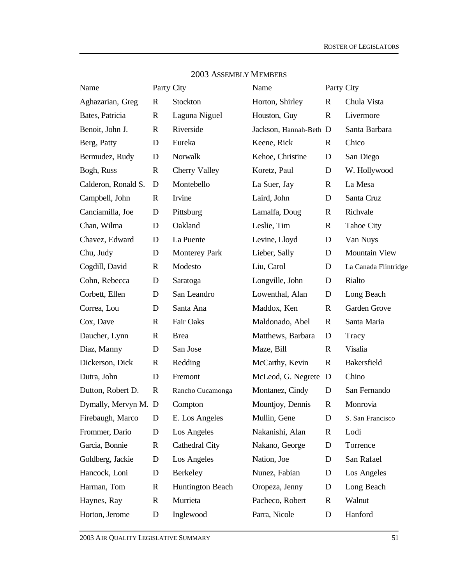| <b>Name</b>          | <b>Party City</b> |                         | Name                   | <b>Party City</b> |                      |
|----------------------|-------------------|-------------------------|------------------------|-------------------|----------------------|
| Aghazarian, Greg     | $\mathbf R$       | Stockton                | Horton, Shirley        | $\mathbf R$       | Chula Vista          |
| Bates, Patricia      | $\mathbf R$       | Laguna Niguel           | Houston, Guy           | $\mathbf R$       | Livermore            |
| Benoit, John J.      | $\mathbf R$       | Riverside               | Jackson, Hannah-Beth D |                   | Santa Barbara        |
| Berg, Patty          | D                 | Eureka                  | Keene, Rick            | R                 | Chico                |
| Bermudez, Rudy       | D                 | Norwalk                 | Kehoe, Christine       | D                 | San Diego            |
| Bogh, Russ           | R                 | Cherry Valley           | Koretz, Paul           | D                 | W. Hollywood         |
| Calderon, Ronald S.  | D                 | Montebello              | La Suer, Jay           | $\mathbf R$       | La Mesa              |
| Campbell, John       | $\mathbf R$       | Irvine                  | Laird, John            | D                 | Santa Cruz           |
| Canciamilla, Joe     | D                 | Pittsburg               | Lamalfa, Doug          | $\mathbf R$       | Richvale             |
| Chan, Wilma          | D                 | Oakland                 | Leslie, Tim            | $\mathbf R$       | <b>Tahoe City</b>    |
| Chavez, Edward       | D                 | La Puente               | Levine, Lloyd          | D                 | Van Nuys             |
| Chu, Judy            | D                 | <b>Monterey Park</b>    | Lieber, Sally          | D                 | <b>Mountain View</b> |
| Cogdill, David       | $\mathbf R$       | Modesto                 | Liu, Carol             | D                 | La Canada Flintridge |
| Cohn, Rebecca        | D                 | Saratoga                | Longville, John        | D                 | Rialto               |
| Corbett, Ellen       | D                 | San Leandro             | Lowenthal, Alan        | D                 | Long Beach           |
| Correa, Lou          | D                 | Santa Ana               | Maddox, Ken            | $\mathbf R$       | Garden Grove         |
| Cox, Dave            | $\mathbf R$       | Fair Oaks               | Maldonado, Abel        | $\mathbf{R}$      | Santa Maria          |
| Daucher, Lynn        | $\mathbf R$       | <b>Brea</b>             | Matthews, Barbara      | D                 | Tracy                |
| Diaz, Manny          | D                 | San Jose                | Maze, Bill             | $\mathbf R$       | Visalia              |
| Dickerson, Dick      | $\mathbf R$       | Redding                 | McCarthy, Kevin        | $\mathbf R$       | Bakersfield          |
| Dutra, John          | D                 | Fremont                 | McLeod, G. Negrete     | D                 | Chino                |
| Dutton, Robert D.    | $\mathbb{R}$      | Rancho Cucamonga        | Montanez, Cindy        | D                 | San Fernando         |
| Dymally, Mervyn M. D |                   | Compton                 | Mountjoy, Dennis       | $\mathbb{R}$      | Monrovia             |
| Firebaugh, Marco     | D                 | E. Los Angeles          | Mullin, Gene           | D                 | S. San Francisco     |
| Frommer, Dario       | D                 | Los Angeles             | Nakanishi, Alan        | $\mathbf R$       | Lodi                 |
| Garcia, Bonnie       | $\mathbf R$       | Cathedral City          | Nakano, George         | D                 | Torrence             |
| Goldberg, Jackie     | D                 | Los Angeles             | Nation, Joe            | D                 | San Rafael           |
| Hancock, Loni        | D                 | Berkeley                | Nunez, Fabian          | D                 | Los Angeles          |
| Harman, Tom          | $\mathbf R$       | <b>Huntington Beach</b> | Oropeza, Jenny         | D                 | Long Beach           |
| Haynes, Ray          | $\mathbf R$       | Murrieta                | Pacheco, Robert        | R                 | Walnut               |
| Horton, Jerome       | D                 | Inglewood               | Parra, Nicole          | D                 | Hanford              |
|                      |                   |                         |                        |                   |                      |

## 2003 ASSEMBLY MEMBERS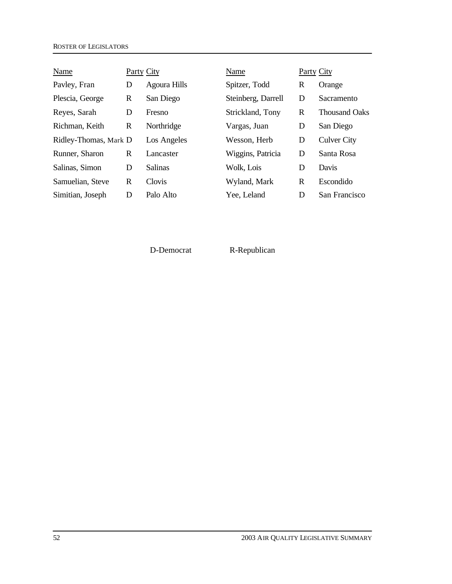| Name                  | Party City |                | Name               | Party City |                      |
|-----------------------|------------|----------------|--------------------|------------|----------------------|
| Payley, Fran          | D          | Agoura Hills   | Spitzer, Todd      | R          | Orange               |
| Plescia, George       | R          | San Diego      | Steinberg, Darrell | D          | Sacramento           |
| Reyes, Sarah          | D          | Fresno         | Strickland, Tony   | R          | <b>Thousand Oaks</b> |
| Richman, Keith        | R          | Northridge     | Vargas, Juan       | D          | San Diego            |
| Ridley-Thomas, Mark D |            | Los Angeles    | Wesson, Herb       | D          | <b>Culver City</b>   |
| Runner, Sharon        | R          | Lancaster      | Wiggins, Patricia  | D          | Santa Rosa           |
| Salinas, Simon        | D          | <b>Salinas</b> | Wolk, Lois         | D          | Davis                |
| Samuelian, Steve      | R          | Clovis         | Wyland, Mark       | R          | Escondido            |
| Simitian, Joseph      | D          | Palo Alto      | Yee, Leland        | D          | San Francisco        |

D-Democrat R-Republican